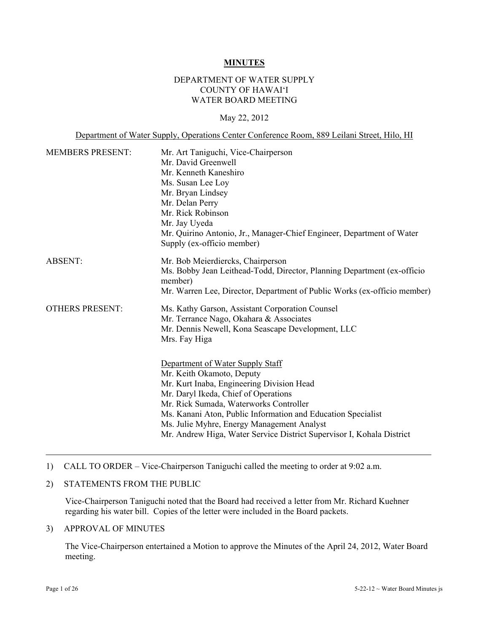#### **MINUTES**

#### DEPARTMENT OF WATER SUPPLY COUNTY OF HAWAI'I WATER BOARD MEETING

#### May 22, 2012

Department of Water Supply, Operations Center Conference Room, 889 Leilani Street, Hilo, HI MEMBERS PRESENT: Mr. Art Taniguchi, Vice-Chairperson Mr. David Greenwell Mr. Kenneth Kaneshiro Ms. Susan Lee Loy Mr. Bryan Lindsey Mr. Delan Perry Mr. Rick Robinson Mr. Jay Uyeda Mr. Quirino Antonio, Jr., Manager-Chief Engineer, Department of Water Supply (ex-officio member) ABSENT: Mr. Bob Meierdiercks, Chairperson Ms. Bobby Jean Leithead-Todd, Director, Planning Department (ex-officio member) Mr. Warren Lee, Director, Department of Public Works (ex-officio member) OTHERS PRESENT: Ms. Kathy Garson, Assistant Corporation Counsel Mr. Terrance Nago, Okahara & Associates Mr. Dennis Newell, Kona Seascape Development, LLC Mrs. Fay Higa Department of Water Supply Staff Mr. Keith Okamoto, Deputy Mr. Kurt Inaba, Engineering Division Head Mr. Daryl Ikeda, Chief of Operations Mr. Rick Sumada, Waterworks Controller Ms. Kanani Aton, Public Information and Education Specialist Ms. Julie Myhre, Energy Management Analyst Mr. Andrew Higa, Water Service District Supervisor I, Kohala District

#### 1) CALL TO ORDER – Vice-Chairperson Taniguchi called the meeting to order at 9:02 a.m.

#### 2) STATEMENTS FROM THE PUBLIC

Vice-Chairperson Taniguchi noted that the Board had received a letter from Mr. Richard Kuehner regarding his water bill. Copies of the letter were included in the Board packets.

#### 3) APPROVAL OF MINUTES

The Vice-Chairperson entertained a Motion to approve the Minutes of the April 24, 2012, Water Board meeting.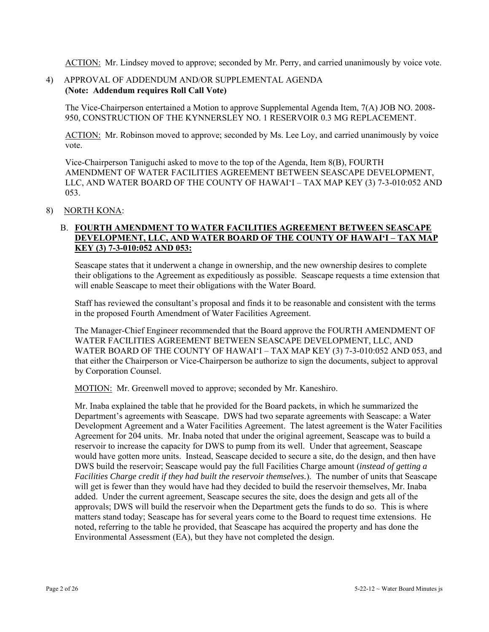ACTION: Mr. Lindsey moved to approve; seconded by Mr. Perry, and carried unanimously by voice vote.

## 4) APPROVAL OF ADDENDUM AND/OR SUPPLEMENTAL AGENDA **(Note: Addendum requires Roll Call Vote)**

The Vice-Chairperson entertained a Motion to approve Supplemental Agenda Item, 7(A) JOB NO. 2008- 950, CONSTRUCTION OF THE KYNNERSLEY NO. 1 RESERVOIR 0.3 MG REPLACEMENT.

ACTION: Mr. Robinson moved to approve; seconded by Ms. Lee Loy, and carried unanimously by voice vote.

Vice-Chairperson Taniguchi asked to move to the top of the Agenda, Item 8(B), FOURTH AMENDMENT OF WATER FACILITIES AGREEMENT BETWEEN SEASCAPE DEVELOPMENT, LLC, AND WATER BOARD OF THE COUNTY OF HAWAI'I – TAX MAP KEY (3) 7-3-010:052 AND 053.

#### 8) NORTH KONA:

# B. **FOURTH AMENDMENT TO WATER FACILITIES AGREEMENT BETWEEN SEASCAPE DEVELOPMENT, LLC, AND WATER BOARD OF THE COUNTY OF HAWAI'I – TAX MAP KEY (3) 7-3-010:052 AND 053:**

Seascape states that it underwent a change in ownership, and the new ownership desires to complete their obligations to the Agreement as expeditiously as possible. Seascape requests a time extension that will enable Seascape to meet their obligations with the Water Board.

Staff has reviewed the consultant's proposal and finds it to be reasonable and consistent with the terms in the proposed Fourth Amendment of Water Facilities Agreement.

The Manager-Chief Engineer recommended that the Board approve the FOURTH AMENDMENT OF WATER FACILITIES AGREEMENT BETWEEN SEASCAPE DEVELOPMENT, LLC, AND WATER BOARD OF THE COUNTY OF HAWAI'I – TAX MAP KEY (3) 7-3-010:052 AND 053, and that either the Chairperson or Vice-Chairperson be authorize to sign the documents, subject to approval by Corporation Counsel.

MOTION: Mr. Greenwell moved to approve; seconded by Mr. Kaneshiro.

Mr. Inaba explained the table that he provided for the Board packets, in which he summarized the Department's agreements with Seascape. DWS had two separate agreements with Seascape: a Water Development Agreement and a Water Facilities Agreement. The latest agreement is the Water Facilities Agreement for 204 units. Mr. Inaba noted that under the original agreement, Seascape was to build a reservoir to increase the capacity for DWS to pump from its well. Under that agreement, Seascape would have gotten more units. Instead, Seascape decided to secure a site, do the design, and then have DWS build the reservoir; Seascape would pay the full Facilities Charge amount (*instead of getting a Facilities Charge credit if they had built the reservoir themselves.*). The number of units that Seascape will get is fewer than they would have had they decided to build the reservoir themselves, Mr. Inaba added. Under the current agreement, Seascape secures the site, does the design and gets all of the approvals; DWS will build the reservoir when the Department gets the funds to do so. This is where matters stand today; Seascape has for several years come to the Board to request time extensions. He noted, referring to the table he provided, that Seascape has acquired the property and has done the Environmental Assessment (EA), but they have not completed the design.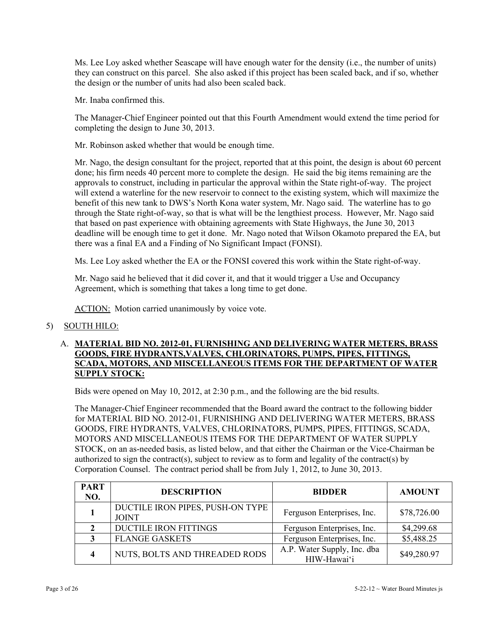Ms. Lee Loy asked whether Seascape will have enough water for the density (i.e., the number of units) they can construct on this parcel. She also asked if this project has been scaled back, and if so, whether the design or the number of units had also been scaled back.

Mr. Inaba confirmed this.

The Manager-Chief Engineer pointed out that this Fourth Amendment would extend the time period for completing the design to June 30, 2013.

Mr. Robinson asked whether that would be enough time.

Mr. Nago, the design consultant for the project, reported that at this point, the design is about 60 percent done; his firm needs 40 percent more to complete the design. He said the big items remaining are the approvals to construct, including in particular the approval within the State right-of-way. The project will extend a waterline for the new reservoir to connect to the existing system, which will maximize the benefit of this new tank to DWS's North Kona water system, Mr. Nago said. The waterline has to go through the State right-of-way, so that is what will be the lengthiest process. However, Mr. Nago said that based on past experience with obtaining agreements with State Highways, the June 30, 2013 deadline will be enough time to get it done. Mr. Nago noted that Wilson Okamoto prepared the EA, but there was a final EA and a Finding of No Significant Impact (FONSI).

Ms. Lee Loy asked whether the EA or the FONSI covered this work within the State right-of-way.

Mr. Nago said he believed that it did cover it, and that it would trigger a Use and Occupancy Agreement, which is something that takes a long time to get done.

ACTION: Motion carried unanimously by voice vote.

### 5) SOUTH HILO:

### A. **MATERIAL BID NO. 2012-01, FURNISHING AND DELIVERING WATER METERS, BRASS GOODS, FIRE HYDRANTS,VALVES, CHLORINATORS, PUMPS, PIPES, FITTINGS, SCADA, MOTORS, AND MISCELLANEOUS ITEMS FOR THE DEPARTMENT OF WATER SUPPLY STOCK:**

Bids were opened on May 10, 2012, at 2:30 p.m., and the following are the bid results.

The Manager-Chief Engineer recommended that the Board award the contract to the following bidder for MATERIAL BID NO. 2012-01, FURNISHING AND DELIVERING WATER METERS, BRASS GOODS, FIRE HYDRANTS, VALVES, CHLORINATORS, PUMPS, PIPES, FITTINGS, SCADA, MOTORS AND MISCELLANEOUS ITEMS FOR THE DEPARTMENT OF WATER SUPPLY STOCK, on an as-needed basis, as listed below, and that either the Chairman or the Vice-Chairman be authorized to sign the contract(s), subject to review as to form and legality of the contract(s) by Corporation Counsel. The contract period shall be from July 1, 2012, to June 30, 2013.

| <b>PART</b><br>NO. | <b>DESCRIPTION</b>                               | <b>BIDDER</b>                              | <b>AMOUNT</b> |
|--------------------|--------------------------------------------------|--------------------------------------------|---------------|
|                    | DUCTILE IRON PIPES, PUSH-ON TYPE<br><b>JOINT</b> | Ferguson Enterprises, Inc.                 | \$78,726.00   |
|                    | DUCTILE IRON FITTINGS                            | Ferguson Enterprises, Inc.                 | \$4,299.68    |
|                    | <b>FLANGE GASKETS</b>                            | Ferguson Enterprises, Inc.                 | \$5,488.25    |
|                    | NUTS, BOLTS AND THREADED RODS                    | A.P. Water Supply, Inc. dba<br>HIW-Hawai'i | \$49,280.97   |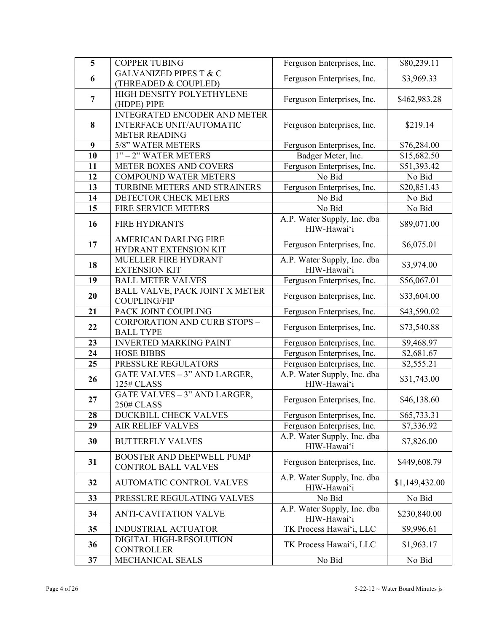| $\overline{\mathbf{5}}$ | <b>COPPER TUBING</b>                | Ferguson Enterprises, Inc.                 | \$80,239.11    |
|-------------------------|-------------------------------------|--------------------------------------------|----------------|
| 6                       | <b>GALVANIZED PIPES T &amp; C</b>   | Ferguson Enterprises, Inc.                 | \$3,969.33     |
|                         | (THREADED & COUPLED)                |                                            |                |
| 7                       | HIGH DENSITY POLYETHYLENE           |                                            | \$462,983.28   |
|                         | (HDPE) PIPE                         | Ferguson Enterprises, Inc.                 |                |
|                         | <b>INTEGRATED ENCODER AND METER</b> |                                            |                |
| 8                       | INTERFACE UNIT/AUTOMATIC            | Ferguson Enterprises, Inc.                 | \$219.14       |
|                         | <b>METER READING</b>                |                                            |                |
| 9                       | 5/8" WATER METERS                   | Ferguson Enterprises, Inc.                 | \$76,284.00    |
| 10                      | 1" - 2" WATER METERS                | Badger Meter, Inc.                         | \$15,682.50    |
| 11                      | METER BOXES AND COVERS              | Ferguson Enterprises, Inc.                 | \$51,393.42    |
| 12                      | <b>COMPOUND WATER METERS</b>        | No Bid                                     | No Bid         |
| 13                      | TURBINE METERS AND STRAINERS        | Ferguson Enterprises, Inc.                 | \$20,851.43    |
| 14                      | DETECTOR CHECK METERS               | No Bid                                     | No Bid         |
| 15                      | FIRE SERVICE METERS                 | No Bid                                     | No Bid         |
|                         | <b>FIRE HYDRANTS</b>                | A.P. Water Supply, Inc. dba                |                |
| 16                      |                                     | HIW-Hawai'i                                | \$89,071.00    |
| 17                      | <b>AMERICAN DARLING FIRE</b>        |                                            | \$6,075.01     |
|                         | HYDRANT EXTENSION KIT               | Ferguson Enterprises, Inc.                 |                |
| 18                      | MUELLER FIRE HYDRANT                | A.P. Water Supply, Inc. dba                | \$3,974.00     |
|                         | <b>EXTENSION KIT</b>                | HIW-Hawai'i                                |                |
| 19                      | <b>BALL METER VALVES</b>            | Ferguson Enterprises, Inc.                 | \$56,067.01    |
| 20                      | BALL VALVE, PACK JOINT X METER      | Ferguson Enterprises, Inc.                 | \$33,604.00    |
|                         | <b>COUPLING/FIP</b>                 |                                            |                |
| 21                      | PACK JOINT COUPLING                 | Ferguson Enterprises, Inc.                 | \$43,590.02    |
| 22                      | <b>CORPORATION AND CURB STOPS -</b> | Ferguson Enterprises, Inc.                 | \$73,540.88    |
|                         | <b>BALL TYPE</b>                    |                                            |                |
| 23                      | <b>INVERTED MARKING PAINT</b>       | Ferguson Enterprises, Inc.                 | \$9,468.97     |
| 24                      | <b>HOSE BIBBS</b>                   | Ferguson Enterprises, Inc.                 | \$2,681.67     |
| 25                      | PRESSURE REGULATORS                 | Ferguson Enterprises, Inc.                 | \$2,555.21     |
| 26                      | GATE VALVES - 3" AND LARGER,        | A.P. Water Supply, Inc. dba                | \$31,743.00    |
|                         | 125# CLASS                          | HIW-Hawai'i                                |                |
| 27                      | GATE VALVES - 3" AND LARGER,        | Ferguson Enterprises, Inc.                 | \$46,138.60    |
|                         | <b>250# CLASS</b>                   |                                            |                |
| 28                      | DUCKBILL CHECK VALVES               | Ferguson Enterprises, Inc.                 | \$65,733.31    |
| 29                      | <b>AIR RELIEF VALVES</b>            | Ferguson Enterprises, Inc.                 | \$7,336.92     |
| 30                      | <b>BUTTERFLY VALVES</b>             | A.P. Water Supply, Inc. dba                | \$7,826.00     |
|                         |                                     | HIW-Hawai'i                                |                |
| 31                      | <b>BOOSTER AND DEEPWELL PUMP</b>    | Ferguson Enterprises, Inc.                 | \$449,608.79   |
|                         | <b>CONTROL BALL VALVES</b>          |                                            |                |
| 32                      | <b>AUTOMATIC CONTROL VALVES</b>     | A.P. Water Supply, Inc. dba<br>HIW-Hawai'i | \$1,149,432.00 |
| 33                      | PRESSURE REGULATING VALVES          | No Bid                                     | No Bid         |
|                         |                                     | A.P. Water Supply, Inc. dba                |                |
| 34                      | <b>ANTI-CAVITATION VALVE</b>        | HIW-Hawai'i                                | \$230,840.00   |
| 35                      | <b>INDUSTRIAL ACTUATOR</b>          | TK Process Hawai'i, LLC                    | \$9,996.61     |
|                         | DIGITAL HIGH-RESOLUTION             |                                            |                |
| 36                      | <b>CONTROLLER</b>                   | TK Process Hawai'i, LLC                    | \$1,963.17     |
| 37                      | MECHANICAL SEALS                    | No Bid                                     | No Bid         |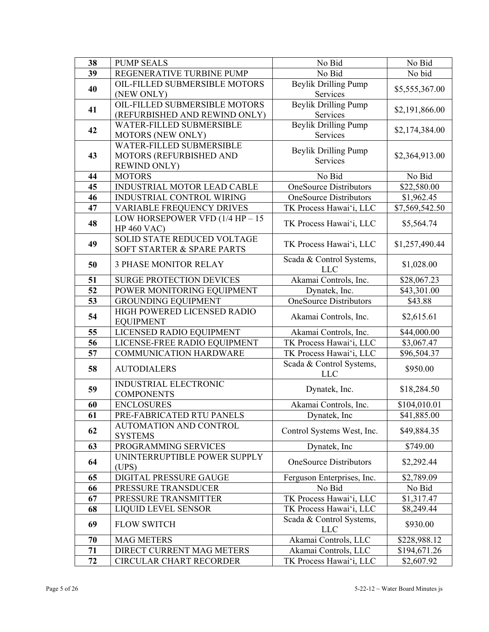| 38                                                 | <b>PUMP SEALS</b>                                             | No Bid                                 | No Bid                     |  |
|----------------------------------------------------|---------------------------------------------------------------|----------------------------------------|----------------------------|--|
| 39                                                 | REGENERATIVE TURBINE PUMP                                     | No Bid                                 | No bid                     |  |
|                                                    | OIL-FILLED SUBMERSIBLE MOTORS                                 | <b>Beylik Drilling Pump</b>            |                            |  |
| 40                                                 | (NEW ONLY)                                                    | Services                               | \$5,555,367.00             |  |
|                                                    | OIL-FILLED SUBMERSIBLE MOTORS                                 | <b>Beylik Drilling Pump</b>            |                            |  |
| 41                                                 | (REFURBISHED AND REWIND ONLY)                                 | Services                               | \$2,191,866.00             |  |
|                                                    | WATER-FILLED SUBMERSIBLE                                      | <b>Beylik Drilling Pump</b>            |                            |  |
| 42                                                 | MOTORS (NEW ONLY)                                             | Services                               | \$2,174,384.00             |  |
|                                                    | WATER-FILLED SUBMERSIBLE                                      | <b>Beylik Drilling Pump</b>            |                            |  |
| 43                                                 | MOTORS (REFURBISHED AND                                       | Services                               | \$2,364,913.00             |  |
|                                                    | <b>REWIND ONLY)</b>                                           |                                        |                            |  |
| 44                                                 | <b>MOTORS</b>                                                 | No Bid                                 | No Bid                     |  |
| 45                                                 | INDUSTRIAL MOTOR LEAD CABLE                                   | <b>OneSource Distributors</b>          | \$22,580.00                |  |
| 46                                                 | INDUSTRIAL CONTROL WIRING                                     | <b>OneSource Distributors</b>          | \$1,962.45                 |  |
| 47                                                 | VARIABLE FREQUENCY DRIVES                                     | TK Process Hawai'i, LLC                | $\overline{$}7,569,542.50$ |  |
| 48                                                 | LOW HORSEPOWER VFD (1/4 HP $-15$                              | TK Process Hawai'i, LLC                | \$5,564.74                 |  |
|                                                    | <b>HP 460 VAC)</b>                                            |                                        |                            |  |
| 49                                                 | SOLID STATE REDUCED VOLTAGE                                   | TK Process Hawai'i, LLC                | \$1,257,490.44             |  |
|                                                    | SOFT STARTER & SPARE PARTS                                    |                                        |                            |  |
| 50                                                 | <b>3 PHASE MONITOR RELAY</b>                                  | Scada & Control Systems,               | \$1,028.00                 |  |
|                                                    |                                                               | <b>LLC</b>                             |                            |  |
| 51                                                 | <b>SURGE PROTECTION DEVICES</b>                               | Akamai Controls, Inc.                  | \$28,067.23                |  |
| 52                                                 | POWER MONITORING EQUIPMENT                                    | Dynatek, Inc.                          | \$43,301.00                |  |
| 53                                                 | <b>GROUNDING EQUIPMENT</b>                                    | <b>OneSource Distributors</b>          | \$43.88                    |  |
| 54                                                 | HIGH POWERED LICENSED RADIO                                   | Akamai Controls, Inc.                  | \$2,615.61                 |  |
| <b>EQUIPMENT</b><br>LICENSED RADIO EQUIPMENT<br>55 |                                                               |                                        |                            |  |
|                                                    |                                                               | Akamai Controls, Inc.                  | \$44,000.00                |  |
| 56<br>57                                           | LICENSE-FREE RADIO EQUIPMENT<br><b>COMMUNICATION HARDWARE</b> | TK Process Hawai'i, LLC                | \$3,067.47<br>\$96,504.37  |  |
|                                                    |                                                               | TK Process Hawai'i, LLC                |                            |  |
| 58                                                 | <b>AUTODIALERS</b>                                            | Scada & Control Systems,<br><b>LLC</b> | \$950.00                   |  |
|                                                    | <b>INDUSTRIAL ELECTRONIC</b>                                  |                                        |                            |  |
| 59                                                 | <b>COMPONENTS</b>                                             | Dynatek, Inc.                          | \$18,284.50                |  |
| 60                                                 | <b>ENCLOSURES</b>                                             | Akamai Controls, Inc.                  | \$104,010.01               |  |
| 61                                                 | PRE-FABRICATED RTU PANELS                                     | Dynatek, Inc.                          | \$41,885.00                |  |
|                                                    | AUTOMATION AND CONTROL                                        |                                        |                            |  |
| 62                                                 | <b>SYSTEMS</b>                                                | Control Systems West, Inc.             | \$49,884.35                |  |
| 63                                                 | PROGRAMMING SERVICES                                          | Dynatek, Inc.                          | \$749.00                   |  |
|                                                    | UNINTERRUPTIBLE POWER SUPPLY                                  |                                        |                            |  |
| 64                                                 | (UPS)                                                         | <b>OneSource Distributors</b>          | \$2,292.44                 |  |
| 65                                                 | DIGITAL PRESSURE GAUGE                                        | Ferguson Enterprises, Inc.             | \$2,789.09                 |  |
| 66                                                 | PRESSURE TRANSDUCER                                           | No Bid                                 | No Bid                     |  |
| 67                                                 | PRESSURE TRANSMITTER                                          | TK Process Hawai'i, LLC                | \$1,317.47                 |  |
| 68                                                 | <b>LIQUID LEVEL SENSOR</b>                                    | TK Process Hawai'i, LLC                | \$8,249.44                 |  |
| 69                                                 | <b>FLOW SWITCH</b>                                            | Scada & Control Systems,               | \$930.00                   |  |
| 70                                                 | <b>MAG METERS</b>                                             | <b>LLC</b><br>Akamai Controls, LLC     | \$228,988.12               |  |
| 71                                                 | DIRECT CURRENT MAG METERS                                     | Akamai Controls, LLC                   | \$194,671.26               |  |
| 72                                                 | <b>CIRCULAR CHART RECORDER</b>                                | TK Process Hawai'i, LLC                | \$2,607.92                 |  |
|                                                    |                                                               |                                        |                            |  |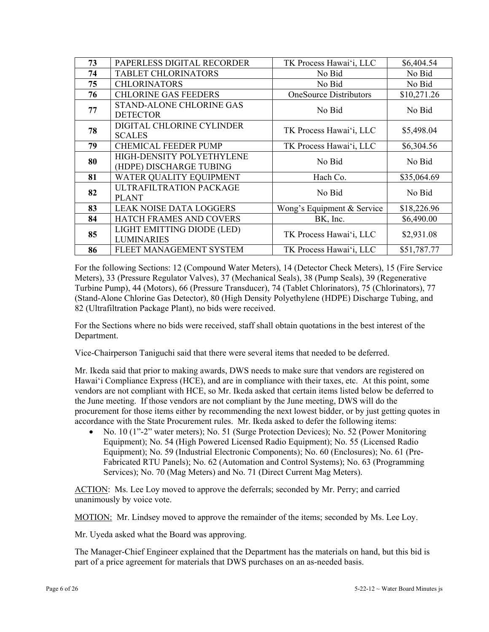| 73 | PAPERLESS DIGITAL RECORDER                           | TK Process Hawai'i, LLC       | \$6,404.54  |
|----|------------------------------------------------------|-------------------------------|-------------|
| 74 | <b>TABLET CHLORINATORS</b>                           | No Bid                        | No Bid      |
| 75 | <b>CHLORINATORS</b>                                  | No Bid                        | No Bid      |
| 76 | <b>CHLORINE GAS FEEDERS</b>                          | <b>OneSource Distributors</b> | \$10,271.26 |
| 77 | STAND-ALONE CHLORINE GAS<br><b>DETECTOR</b>          | No Bid                        | No Bid      |
| 78 | DIGITAL CHLORINE CYLINDER<br><b>SCALES</b>           | TK Process Hawai'i, LLC       | \$5,498.04  |
| 79 | <b>CHEMICAL FEEDER PUMP</b>                          | TK Process Hawai'i, LLC       | \$6,304.56  |
| 80 | HIGH-DENSITY POLYETHYLENE<br>(HDPE) DISCHARGE TUBING | No Bid                        | No Bid      |
| 81 | WATER QUALITY EQUIPMENT                              | Hach Co.                      | \$35,064.69 |
| 82 | ULTRAFILTRATION PACKAGE<br><b>PLANT</b>              | No Bid                        | No Bid      |
| 83 | <b>LEAK NOISE DATA LOGGERS</b>                       | Wong's Equipment & Service    | \$18,226.96 |
| 84 | <b>HATCH FRAMES AND COVERS</b>                       | BK, Inc.                      | \$6,490.00  |
| 85 | LIGHT EMITTING DIODE (LED)<br><b>LUMINARIES</b>      | TK Process Hawai'i, LLC       | \$2,931.08  |
| 86 | FLEET MANAGEMENT SYSTEM                              | TK Process Hawai'i, LLC       | \$51,787.77 |

For the following Sections: 12 (Compound Water Meters), 14 (Detector Check Meters), 15 (Fire Service Meters), 33 (Pressure Regulator Valves), 37 (Mechanical Seals), 38 (Pump Seals), 39 (Regenerative Turbine Pump), 44 (Motors), 66 (Pressure Transducer), 74 (Tablet Chlorinators), 75 (Chlorinators), 77 (Stand-Alone Chlorine Gas Detector), 80 (High Density Polyethylene (HDPE) Discharge Tubing, and 82 (Ultrafiltration Package Plant), no bids were received.

For the Sections where no bids were received, staff shall obtain quotations in the best interest of the Department.

Vice-Chairperson Taniguchi said that there were several items that needed to be deferred.

Mr. Ikeda said that prior to making awards, DWS needs to make sure that vendors are registered on Hawai'i Compliance Express (HCE), and are in compliance with their taxes, etc. At this point, some vendors are not compliant with HCE, so Mr. Ikeda asked that certain items listed below be deferred to the June meeting. If those vendors are not compliant by the June meeting, DWS will do the procurement for those items either by recommending the next lowest bidder, or by just getting quotes in accordance with the State Procurement rules. Mr. Ikeda asked to defer the following items:

• No. 10 (1"-2" water meters); No. 51 (Surge Protection Devices); No. 52 (Power Monitoring Equipment); No. 54 (High Powered Licensed Radio Equipment); No. 55 (Licensed Radio Equipment); No. 59 (Industrial Electronic Components); No. 60 (Enclosures); No. 61 (Pre-Fabricated RTU Panels); No. 62 (Automation and Control Systems); No. 63 (Programming Services); No. 70 (Mag Meters) and No. 71 (Direct Current Mag Meters).

ACTION: Ms. Lee Loy moved to approve the deferrals; seconded by Mr. Perry; and carried unanimously by voice vote.

MOTION: Mr. Lindsey moved to approve the remainder of the items; seconded by Ms. Lee Loy.

Mr. Uyeda asked what the Board was approving.

The Manager-Chief Engineer explained that the Department has the materials on hand, but this bid is part of a price agreement for materials that DWS purchases on an as-needed basis.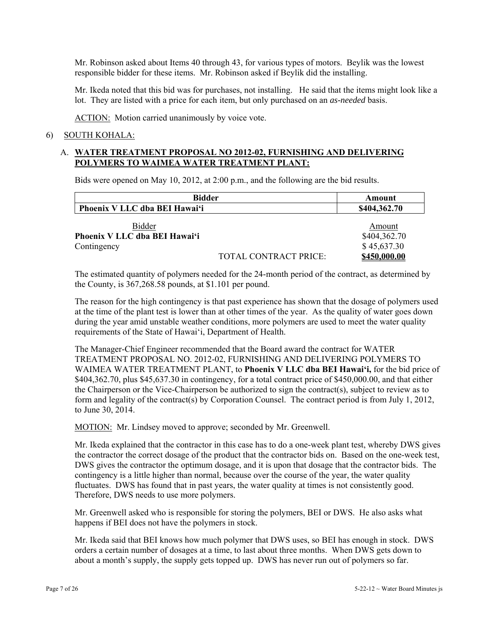Mr. Robinson asked about Items 40 through 43, for various types of motors. Beylik was the lowest responsible bidder for these items. Mr. Robinson asked if Beylik did the installing.

Mr. Ikeda noted that this bid was for purchases, not installing. He said that the items might look like a lot. They are listed with a price for each item, but only purchased on an *as-needed* basis.

ACTION: Motion carried unanimously by voice vote.

#### 6) SOUTH KOHALA:

# A. **WATER TREATMENT PROPOSAL NO 2012-02, FURNISHING AND DELIVERING POLYMERS TO WAIMEA WATER TREATMENT PLANT:**

Bids were opened on May 10, 2012, at 2:00 p.m., and the following are the bid results.

| <b>Bidder</b><br>Phoenix V LLC dba BEI Hawai'i         |                              | Amount                                |  |
|--------------------------------------------------------|------------------------------|---------------------------------------|--|
|                                                        |                              | \$404,362.70                          |  |
| Bidder<br>Phoenix V LLC dba BEI Hawai'i<br>Contingency |                              | Amount<br>\$404,362.70<br>\$45,637.30 |  |
|                                                        | <b>TOTAL CONTRACT PRICE:</b> | \$450,000.00                          |  |

The estimated quantity of polymers needed for the 24-month period of the contract, as determined by the County, is 367,268.58 pounds, at \$1.101 per pound.

The reason for the high contingency is that past experience has shown that the dosage of polymers used at the time of the plant test is lower than at other times of the year. As the quality of water goes down during the year amid unstable weather conditions, more polymers are used to meet the water quality requirements of the State of Hawai'i, Department of Health.

The Manager-Chief Engineer recommended that the Board award the contract for WATER TREATMENT PROPOSAL NO. 2012-02, FURNISHING AND DELIVERING POLYMERS TO WAIMEA WATER TREATMENT PLANT, to **Phoenix V LLC dba BEI Hawai'i,** for the bid price of \$404,362.70, plus \$45,637.30 in contingency, for a total contract price of \$450,000.00, and that either the Chairperson or the Vice-Chairperson be authorized to sign the contract(s), subject to review as to form and legality of the contract(s) by Corporation Counsel. The contract period is from July 1, 2012, to June 30, 2014.

MOTION: Mr. Lindsey moved to approve; seconded by Mr. Greenwell.

Mr. Ikeda explained that the contractor in this case has to do a one-week plant test, whereby DWS gives the contractor the correct dosage of the product that the contractor bids on. Based on the one-week test, DWS gives the contractor the optimum dosage, and it is upon that dosage that the contractor bids. The contingency is a little higher than normal, because over the course of the year, the water quality fluctuates. DWS has found that in past years, the water quality at times is not consistently good. Therefore, DWS needs to use more polymers.

Mr. Greenwell asked who is responsible for storing the polymers, BEI or DWS. He also asks what happens if BEI does not have the polymers in stock.

Mr. Ikeda said that BEI knows how much polymer that DWS uses, so BEI has enough in stock. DWS orders a certain number of dosages at a time, to last about three months. When DWS gets down to about a month's supply, the supply gets topped up. DWS has never run out of polymers so far.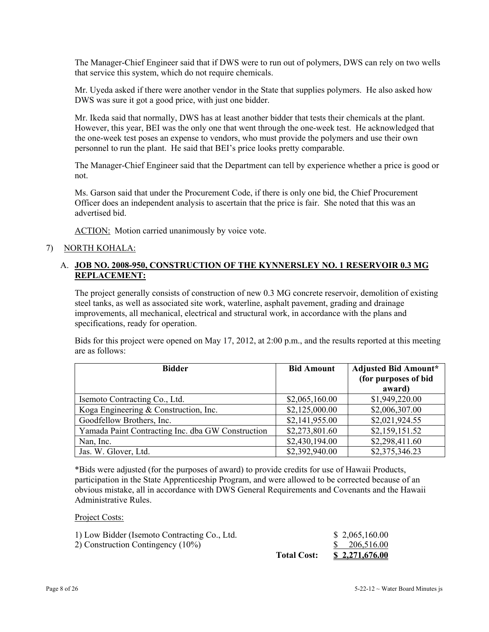The Manager-Chief Engineer said that if DWS were to run out of polymers, DWS can rely on two wells that service this system, which do not require chemicals.

Mr. Uyeda asked if there were another vendor in the State that supplies polymers. He also asked how DWS was sure it got a good price, with just one bidder.

Mr. Ikeda said that normally, DWS has at least another bidder that tests their chemicals at the plant. However, this year, BEI was the only one that went through the one-week test. He acknowledged that the one-week test poses an expense to vendors, who must provide the polymers and use their own personnel to run the plant. He said that BEI's price looks pretty comparable.

The Manager-Chief Engineer said that the Department can tell by experience whether a price is good or not.

Ms. Garson said that under the Procurement Code, if there is only one bid, the Chief Procurement Officer does an independent analysis to ascertain that the price is fair. She noted that this was an advertised bid.

ACTION: Motion carried unanimously by voice vote.

### 7) NORTH KOHALA:

# A. **JOB NO. 2008-950, CONSTRUCTION OF THE KYNNERSLEY NO. 1 RESERVOIR 0.3 MG REPLACEMENT:**

The project generally consists of construction of new 0.3 MG concrete reservoir, demolition of existing steel tanks, as well as associated site work, waterline, asphalt pavement, grading and drainage improvements, all mechanical, electrical and structural work, in accordance with the plans and specifications, ready for operation.

Bids for this project were opened on May 17, 2012, at 2:00 p.m., and the results reported at this meeting are as follows:

| <b>Bidder</b>                                     | <b>Bid Amount</b> | <b>Adjusted Bid Amount*</b> |
|---------------------------------------------------|-------------------|-----------------------------|
|                                                   |                   | (for purposes of bid        |
|                                                   |                   | award)                      |
| Isemoto Contracting Co., Ltd.                     | \$2,065,160.00    | \$1,949,220.00              |
| Koga Engineering & Construction, Inc.             | \$2,125,000.00    | \$2,006,307.00              |
| Goodfellow Brothers, Inc.                         | \$2,141,955.00    | \$2,021,924.55              |
| Yamada Paint Contracting Inc. dba GW Construction | \$2,273,801.60    | \$2,159,151.52              |
| Nan, Inc.                                         | \$2,430,194.00    | \$2,298,411.60              |
| Jas. W. Glover, Ltd.                              | \$2,392,940.00    | \$2,375,346.23              |

\*Bids were adjusted (for the purposes of award) to provide credits for use of Hawaii Products, participation in the State Apprenticeship Program, and were allowed to be corrected because of an obvious mistake, all in accordance with DWS General Requirements and Covenants and the Hawaii Administrative Rules.

#### Project Costs:

| 1) Low Bidder (Isemoto Contracting Co., Ltd. |                    | \$2,065,160.00        |
|----------------------------------------------|--------------------|-----------------------|
| 2) Construction Contingency $(10\%)$         |                    | \$206,516,00          |
|                                              | <b>Total Cost:</b> | <u>\$2,271,676.00</u> |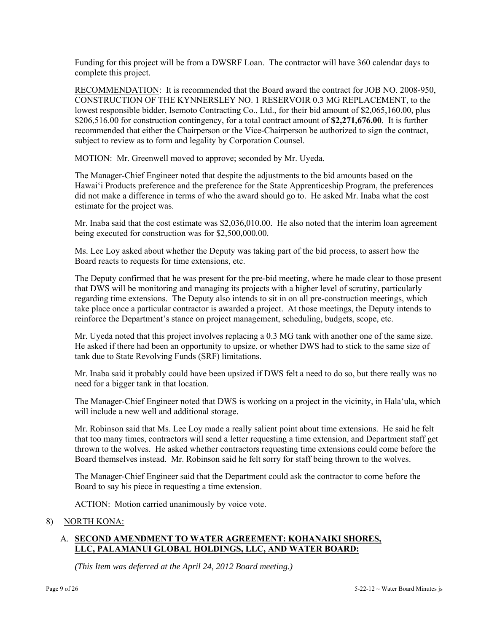Funding for this project will be from a DWSRF Loan. The contractor will have 360 calendar days to complete this project.

RECOMMENDATION: It is recommended that the Board award the contract for JOB NO. 2008-950, CONSTRUCTION OF THE KYNNERSLEY NO. 1 RESERVOIR 0.3 MG REPLACEMENT, to the lowest responsible bidder, Isemoto Contracting Co., Ltd., for their bid amount of \$2,065,160.00, plus \$206,516.00 for construction contingency, for a total contract amount of **\$2,271,676.00**. It is further recommended that either the Chairperson or the Vice-Chairperson be authorized to sign the contract, subject to review as to form and legality by Corporation Counsel.

MOTION: Mr. Greenwell moved to approve; seconded by Mr. Uyeda.

The Manager-Chief Engineer noted that despite the adjustments to the bid amounts based on the Hawai'i Products preference and the preference for the State Apprenticeship Program, the preferences did not make a difference in terms of who the award should go to. He asked Mr. Inaba what the cost estimate for the project was.

Mr. Inaba said that the cost estimate was \$2,036,010.00. He also noted that the interim loan agreement being executed for construction was for \$2,500,000.00.

Ms. Lee Loy asked about whether the Deputy was taking part of the bid process, to assert how the Board reacts to requests for time extensions, etc.

The Deputy confirmed that he was present for the pre-bid meeting, where he made clear to those present that DWS will be monitoring and managing its projects with a higher level of scrutiny, particularly regarding time extensions. The Deputy also intends to sit in on all pre-construction meetings, which take place once a particular contractor is awarded a project. At those meetings, the Deputy intends to reinforce the Department's stance on project management, scheduling, budgets, scope, etc.

Mr. Uyeda noted that this project involves replacing a 0.3 MG tank with another one of the same size. He asked if there had been an opportunity to upsize, or whether DWS had to stick to the same size of tank due to State Revolving Funds (SRF) limitations.

Mr. Inaba said it probably could have been upsized if DWS felt a need to do so, but there really was no need for a bigger tank in that location.

The Manager-Chief Engineer noted that DWS is working on a project in the vicinity, in Hala'ula, which will include a new well and additional storage.

Mr. Robinson said that Ms. Lee Loy made a really salient point about time extensions. He said he felt that too many times, contractors will send a letter requesting a time extension, and Department staff get thrown to the wolves. He asked whether contractors requesting time extensions could come before the Board themselves instead. Mr. Robinson said he felt sorry for staff being thrown to the wolves.

The Manager-Chief Engineer said that the Department could ask the contractor to come before the Board to say his piece in requesting a time extension.

ACTION: Motion carried unanimously by voice vote.

### 8) NORTH KONA:

# A. **SECOND AMENDMENT TO WATER AGREEMENT: KOHANAIKI SHORES, LLC, PALAMANUI GLOBAL HOLDINGS, LLC, AND WATER BOARD:**

*(This Item was deferred at the April 24, 2012 Board meeting.)*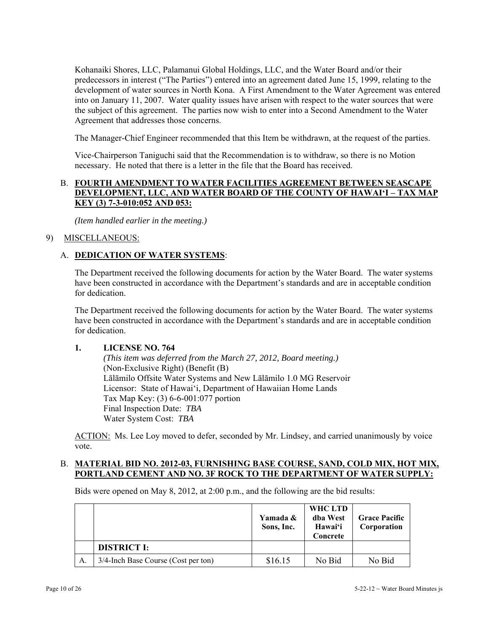Kohanaiki Shores, LLC, Palamanui Global Holdings, LLC, and the Water Board and/or their predecessors in interest ("The Parties") entered into an agreement dated June 15, 1999, relating to the development of water sources in North Kona. A First Amendment to the Water Agreement was entered into on January 11, 2007. Water quality issues have arisen with respect to the water sources that were the subject of this agreement. The parties now wish to enter into a Second Amendment to the Water Agreement that addresses those concerns.

The Manager-Chief Engineer recommended that this Item be withdrawn, at the request of the parties.

Vice-Chairperson Taniguchi said that the Recommendation is to withdraw, so there is no Motion necessary. He noted that there is a letter in the file that the Board has received.

# B. **FOURTH AMENDMENT TO WATER FACILITIES AGREEMENT BETWEEN SEASCAPE DEVELOPMENT, LLC, AND WATER BOARD OF THE COUNTY OF HAWAI'I – TAX MAP KEY (3) 7-3-010:052 AND 053:**

*(Item handled earlier in the meeting.)* 

### 9) MISCELLANEOUS:

### A. **DEDICATION OF WATER SYSTEMS**:

The Department received the following documents for action by the Water Board. The water systems have been constructed in accordance with the Department's standards and are in acceptable condition for dedication.

The Department received the following documents for action by the Water Board. The water systems have been constructed in accordance with the Department's standards and are in acceptable condition for dedication.

### **1. LICENSE NO. 764**

 *(This item was deferred from the March 27, 2012, Board meeting.)*  (Non-Exclusive Right) (Benefit (B) Lālāmilo Offsite Water Systems and New Lālāmilo 1.0 MG Reservoir Licensor: State of Hawai'i, Department of Hawaiian Home Lands Tax Map Key: (3) 6-6-001:077 portion Final Inspection Date: *TBA* Water System Cost: *TBA*

ACTION: Ms. Lee Loy moved to defer, seconded by Mr. Lindsey, and carried unanimously by voice vote.

#### B. **MATERIAL BID NO. 2012-03, FURNISHING BASE COURSE, SAND, COLD MIX, HOT MIX, PORTLAND CEMENT AND NO. 3F ROCK TO THE DEPARTMENT OF WATER SUPPLY:**

Bids were opened on May 8, 2012, at 2:00 p.m., and the following are the bid results:

|    |                                     | Yamada &<br>Sons, Inc. | WHC LTD<br>dba West<br>Hawai'i<br>Concrete | <b>Grace Pacific</b><br>Corporation |
|----|-------------------------------------|------------------------|--------------------------------------------|-------------------------------------|
|    | <b>DISTRICT I:</b>                  |                        |                                            |                                     |
| A. | 3/4-Inch Base Course (Cost per ton) | \$16.15                | No Bid                                     | No Bid                              |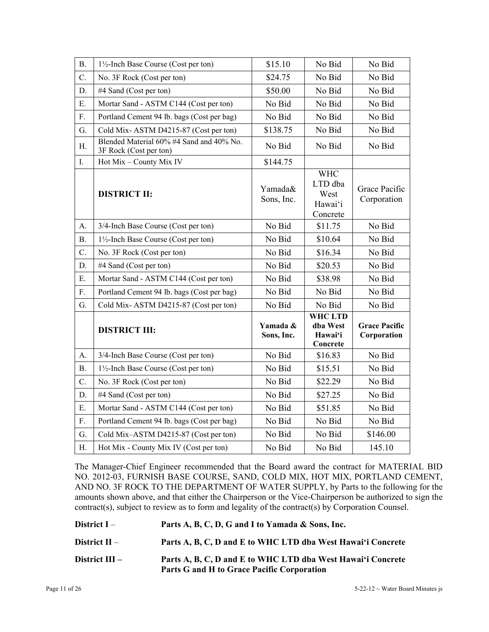| <b>B.</b>   | $1\frac{1}{2}$ -Inch Base Course (Cost per ton)                    | \$15.10                | No Bid                                               | No Bid                              |
|-------------|--------------------------------------------------------------------|------------------------|------------------------------------------------------|-------------------------------------|
| $C$ .       | No. 3F Rock (Cost per ton)                                         | \$24.75                | No Bid                                               | No Bid                              |
| D.          | #4 Sand (Cost per ton)                                             | \$50.00                | No Bid                                               | No Bid                              |
| E.          | Mortar Sand - ASTM C144 (Cost per ton)                             | No Bid                 | No Bid                                               | No Bid                              |
| ${\rm F}.$  | Portland Cement 94 lb. bags (Cost per bag)                         | No Bid                 | No Bid                                               | No Bid                              |
| G.          | Cold Mix-ASTM D4215-87 (Cost per ton)                              | \$138.75               | No Bid                                               | No Bid                              |
| H.          | Blended Material 60% #4 Sand and 40% No.<br>3F Rock (Cost per ton) | No Bid                 | No Bid                                               | No Bid                              |
| $I_{\cdot}$ | Hot Mix - County Mix IV                                            | \$144.75               |                                                      |                                     |
|             | <b>DISTRICT II:</b>                                                | Yamada&<br>Sons, Inc.  | <b>WHC</b><br>LTD dba<br>West<br>Hawai'i<br>Concrete | Grace Pacific<br>Corporation        |
| A.          | 3/4-Inch Base Course (Cost per ton)                                | No Bid                 | \$11.75                                              | No Bid                              |
| <b>B.</b>   | $1\frac{1}{2}$ -Inch Base Course (Cost per ton)                    | No Bid                 | \$10.64                                              | No Bid                              |
| C.          | No. 3F Rock (Cost per ton)                                         | No Bid                 | \$16.34                                              | No Bid                              |
| D.          | #4 Sand (Cost per ton)                                             | No Bid                 | \$20.53                                              | No Bid                              |
| E.          | Mortar Sand - ASTM C144 (Cost per ton)                             | No Bid                 | \$38.98                                              | No Bid                              |
| $F_{\cdot}$ | Portland Cement 94 lb. bags (Cost per bag)                         | No Bid                 | No Bid                                               | No Bid                              |
| G.          | Cold Mix-ASTM D4215-87 (Cost per ton)                              | No Bid                 | No Bid                                               | No Bid                              |
|             | <b>DISTRICT III:</b>                                               | Yamada &<br>Sons, Inc. | <b>WHC LTD</b><br>dba West<br>Hawai'i<br>Concrete    | <b>Grace Pacific</b><br>Corporation |
| A.          | 3/4-Inch Base Course (Cost per ton)                                | No Bid                 | \$16.83                                              | No Bid                              |
| B.          | $1\frac{1}{2}$ -Inch Base Course (Cost per ton)                    | No Bid                 | \$15.51                                              | No Bid                              |
| $C$ .       | No. 3F Rock (Cost per ton)                                         | No Bid                 | \$22.29                                              | No Bid                              |
| D.          | #4 Sand (Cost per ton)                                             | No Bid                 | \$27.25                                              | No Bid                              |
| E.          | Mortar Sand - ASTM C144 (Cost per ton)                             | No Bid                 | \$51.85                                              | No Bid                              |
| $F_{\cdot}$ | Portland Cement 94 lb. bags (Cost per bag)                         | No Bid                 | No Bid                                               | No Bid                              |
| G.          | Cold Mix-ASTM D4215-87 (Cost per ton)                              | No Bid                 | No Bid                                               | \$146.00                            |
| H.          | Hot Mix - County Mix IV (Cost per ton)                             | No Bid                 | No Bid                                               | 145.10                              |

The Manager-Chief Engineer recommended that the Board award the contract for MATERIAL BID NO. 2012-03, FURNISH BASE COURSE, SAND, COLD MIX, HOT MIX, PORTLAND CEMENT, AND NO. 3F ROCK TO THE DEPARTMENT OF WATER SUPPLY, by Parts to the following for the amounts shown above, and that either the Chairperson or the Vice-Chairperson be authorized to sign the contract(s), subject to review as to form and legality of the contract(s) by Corporation Counsel.

| District $I-$    | Parts A, B, C, D, G and I to Yamada & Sons, Inc.                                                          |
|------------------|-----------------------------------------------------------------------------------------------------------|
| District $II -$  | Parts A, B, C, D and E to WHC LTD dba West Hawai'i Concrete                                               |
| District $III -$ | Parts A, B, C, D and E to WHC LTD dba West Hawai'i Concrete<br>Parts G and H to Grace Pacific Corporation |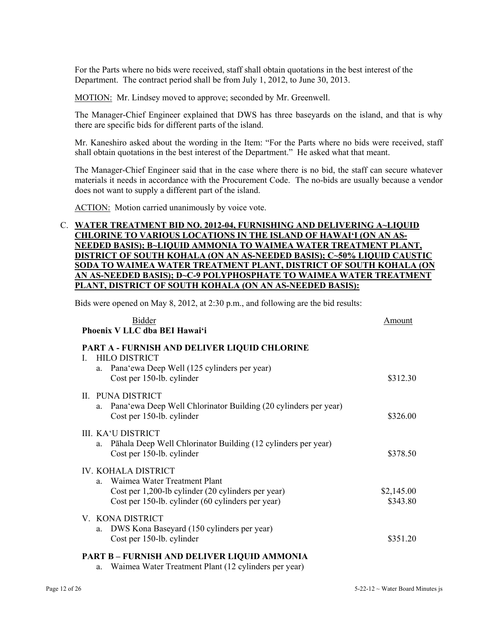For the Parts where no bids were received, staff shall obtain quotations in the best interest of the Department. The contract period shall be from July 1, 2012, to June 30, 2013.

MOTION: Mr. Lindsey moved to approve; seconded by Mr. Greenwell.

The Manager-Chief Engineer explained that DWS has three baseyards on the island, and that is why there are specific bids for different parts of the island.

Mr. Kaneshiro asked about the wording in the Item: "For the Parts where no bids were received, staff shall obtain quotations in the best interest of the Department." He asked what that meant.

The Manager-Chief Engineer said that in the case where there is no bid, the staff can secure whatever materials it needs in accordance with the Procurement Code. The no-bids are usually because a vendor does not want to supply a different part of the island.

ACTION: Motion carried unanimously by voice vote.

# C. **WATER TREATMENT BID NO. 2012-04, FURNISHING AND DELIVERING A~LIQUID CHLORINE TO VARIOUS LOCATIONS IN THE ISLAND OF HAWAI'I (ON AN AS- NEEDED BASIS); B~LIQUID AMMONIA TO WAIMEA WATER TREATMENT PLANT, DISTRICT OF SOUTH KOHALA (ON AN AS-NEEDED BASIS); C~50% LIQUID CAUSTIC SODA TO WAIMEA WATER TREATMENT PLANT, DISTRICT OF SOUTH KOHALA (ON AN AS-NEEDED BASIS); D~C-9 POLYPHOSPHATE TO WAIMEA WATER TREATMENT PLANT, DISTRICT OF SOUTH KOHALA (ON AN AS-NEEDED BASIS):**

Bids were opened on May 8, 2012, at 2:30 p.m., and following are the bid results:

| Phoenix V LLC dba BEI Hawai'i                                               |            |
|-----------------------------------------------------------------------------|------------|
| PART A - FURNISH AND DELIVER LIQUID CHLORINE                                |            |
| <b>HILO DISTRICT</b><br>L<br>a. Pana'ewa Deep Well (125 cylinders per year) |            |
| Cost per 150-lb. cylinder                                                   | \$312.30   |
|                                                                             |            |
| II. PUNA DISTRICT                                                           |            |
| Pana'ewa Deep Well Chlorinator Building (20 cylinders per year)<br>a.       |            |
| Cost per 150-lb. cylinder                                                   | \$326.00   |
| III. KA'U DISTRICT                                                          |            |
| Pāhala Deep Well Chlorinator Building (12 cylinders per year)<br>a.         |            |
| Cost per 150-lb. cylinder                                                   | \$378.50   |
| <b>IV. KOHALA DISTRICT</b>                                                  |            |
| Waimea Water Treatment Plant<br>a                                           |            |
| Cost per 1,200-lb cylinder (20 cylinders per year)                          | \$2,145.00 |
| Cost per 150-lb. cylinder (60 cylinders per year)                           | \$343.80   |
| V. KONA DISTRICT                                                            |            |
| DWS Kona Baseyard (150 cylinders per year)<br>a.                            |            |
| Cost per 150-lb. cylinder                                                   | \$351.20   |

a. Waimea Water Treatment Plant (12 cylinders per year)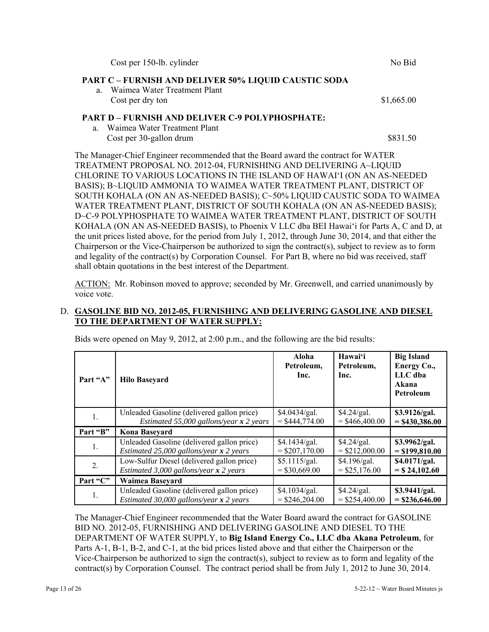| Cost per 150-lb. cylinder                                                                                  | No Bid     |
|------------------------------------------------------------------------------------------------------------|------------|
| <b>PART C - FURNISH AND DELIVER 50% LIQUID CAUSTIC SODA</b>                                                |            |
| a. Waimea Water Treatment Plant                                                                            |            |
| Cost per dry ton                                                                                           | \$1,665.00 |
| <b>PART D - FURNISH AND DELIVER C-9 POLYPHOSPHATE:</b>                                                     |            |
| Waimea Water Treatment Plant<br>a                                                                          |            |
| Cost per 30-gallon drum                                                                                    | \$831.50   |
| The Manager-Chief Engineer recommended that the Board award the contract for WATER                         |            |
| TREATMENT PROPOSAL NO. 2012-04, FURNISHING AND DELIVERING A~LIQUID                                         |            |
| CHLORINE TO VARIOUS LOCATIONS IN THE ISLAND OF HAWAI'I (ON AN AS-NEEDED                                    |            |
| BASIS); B~LIQUID AMMONIA TO WAIMEA WATER TREATMENT PLANT, DISTRICT OF                                      |            |
| SOUTH KOHALA (ON AN AS-NEEDED BASIS); C~50% LIQUID CAUSTIC SODA TO WAIMEA                                  |            |
| WATER TREATMENT PLANT, DISTRICT OF SOUTH KOHALA (ON AN AS-NEEDED BASIS);                                   |            |
| D~C-9 POLYPHOSPHATE TO WAIMEA WATER TREATMENT PLANT, DISTRICT OF SOUTH                                     |            |
| KOHALA (ON AN AS-NEEDED BASIS), to Phoenix V LLC dba BEI Hawai'i for Parts A, C and D, at                  |            |
| the unit prices listed above, for the period from July 1, 2012, through June 30, 2014, and that either the |            |

the unit prices listed above, for the period from July 1, 2012, through June 30, 2014, and that either the Chairperson or the Vice-Chairperson be authorized to sign the contract(s), subject to review as to form and legality of the contract(s) by Corporation Counsel. For Part B, where no bid was received, staff shall obtain quotations in the best interest of the Department.

ACTION: Mr. Robinson moved to approve; seconded by Mr. Greenwell, and carried unanimously by voice vote.

## D. **GASOLINE BID NO. 2012-05, FURNISHING AND DELIVERING GASOLINE AND DIESEL TO THE DEPARTMENT OF WATER SUPPLY:**

| Part "A" | <b>Hilo Baseyard</b>                       | Aloha<br>Petroleum,<br>Inc. | Hawai'i<br>Petroleum,<br>Inc. | <b>Big Island</b><br>Energy Co.,<br>LLC dba<br>Akana<br><b>Petroleum</b> |
|----------|--------------------------------------------|-----------------------------|-------------------------------|--------------------------------------------------------------------------|
| 1.       | Unleaded Gasoline (delivered gallon price) | \$4.0434/gal.               | \$4.24/gal.                   | \$3.9126/gal.                                                            |
|          | Estimated 55,000 gallons/year $x$ 2 years  | $=$ \$444,774.00            | $=$ \$466,400.00              | $=$ \$430,386.00                                                         |
| Part "B" | Kona Baseyard                              |                             |                               |                                                                          |
| 1.       | Unleaded Gasoline (delivered gallon price) | \$4.1434/gal.               | \$4.24/gal.                   | \$3.9962/gal.                                                            |
|          | Estimated 25,000 gallons/year $x$ 2 years  | $=$ \$207,170.00            | $=$ \$212,000.00              | $=$ \$199,810.00                                                         |
| 2.       | Low-Sulfur Diesel (delivered gallon price) | \$5.1115/gal.               | \$4.196/gal.                  | \$4.0171/gal.                                                            |
|          | Estimated 3,000 gallons/year $x$ 2 years   | $=$ \$30,669.00             | $=$ \$25,176.00               | $=$ \$24,102.60                                                          |
| Part "C" | <b>Waimea Baseyard</b>                     |                             |                               |                                                                          |
| 1.       | Unleaded Gasoline (delivered gallon price) | \$4.1034/gal.               | \$4.24/gal.                   | \$3.9441/gal.                                                            |
|          | Estimated 30,000 gallons/year $x$ 2 years  | $=$ \$246,204.00            | $=$ \$254,400.00              | $=$ \$236,646.00                                                         |

Bids were opened on May 9, 2012, at 2:00 p.m., and the following are the bid results:

The Manager-Chief Engineer recommended that the Water Board award the contract for GASOLINE BID NO. 2012-05, FURNISHING AND DELIVERING GASOLINE AND DIESEL TO THE DEPARTMENT OF WATER SUPPLY, to **Big Island Energy Co., LLC dba Akana Petroleum**, for Parts A-1, B-1, B-2, and C-1, at the bid prices listed above and that either the Chairperson or the Vice-Chairperson be authorized to sign the contract(s), subject to review as to form and legality of the contract(s) by Corporation Counsel. The contract period shall be from July 1, 2012 to June 30, 2014.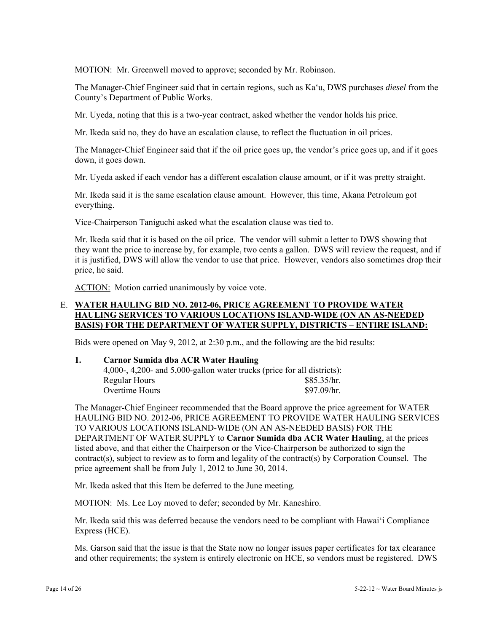MOTION: Mr. Greenwell moved to approve; seconded by Mr. Robinson.

The Manager-Chief Engineer said that in certain regions, such as Ka'u, DWS purchases *diesel* from the County's Department of Public Works.

Mr. Uyeda, noting that this is a two-year contract, asked whether the vendor holds his price.

Mr. Ikeda said no, they do have an escalation clause, to reflect the fluctuation in oil prices.

The Manager-Chief Engineer said that if the oil price goes up, the vendor's price goes up, and if it goes down, it goes down.

Mr. Uyeda asked if each vendor has a different escalation clause amount, or if it was pretty straight.

Mr. Ikeda said it is the same escalation clause amount. However, this time, Akana Petroleum got everything.

Vice-Chairperson Taniguchi asked what the escalation clause was tied to.

Mr. Ikeda said that it is based on the oil price. The vendor will submit a letter to DWS showing that they want the price to increase by, for example, two cents a gallon. DWS will review the request, and if it is justified, DWS will allow the vendor to use that price. However, vendors also sometimes drop their price, he said.

ACTION: Motion carried unanimously by voice vote.

### E. **WATER HAULING BID NO. 2012-06, PRICE AGREEMENT TO PROVIDE WATER HAULING SERVICES TO VARIOUS LOCATIONS ISLAND-WIDE (ON AN AS-NEEDED BASIS) FOR THE DEPARTMENT OF WATER SUPPLY, DISTRICTS – ENTIRE ISLAND:**

Bids were opened on May 9, 2012, at 2:30 p.m., and the following are the bid results:

#### **1. Carnor Sumida dba ACR Water Hauling**

|                | 4,000-, 4,200- and 5,000-gallon water trucks (price for all districts): |
|----------------|-------------------------------------------------------------------------|
| Regular Hours  | \$85.35/hr.                                                             |
| Overtime Hours | \$97.09/hr.                                                             |

The Manager-Chief Engineer recommended that the Board approve the price agreement for WATER HAULING BID NO. 2012-06, PRICE AGREEMENT TO PROVIDE WATER HAULING SERVICES TO VARIOUS LOCATIONS ISLAND-WIDE (ON AN AS-NEEDED BASIS) FOR THE DEPARTMENT OF WATER SUPPLY to **Carnor Sumida dba ACR Water Hauling**, at the prices listed above, and that either the Chairperson or the Vice-Chairperson be authorized to sign the contract(s), subject to review as to form and legality of the contract(s) by Corporation Counsel. The price agreement shall be from July 1, 2012 to June 30, 2014.

Mr. Ikeda asked that this Item be deferred to the June meeting.

MOTION: Ms. Lee Loy moved to defer; seconded by Mr. Kaneshiro.

Mr. Ikeda said this was deferred because the vendors need to be compliant with Hawai'i Compliance Express (HCE).

Ms. Garson said that the issue is that the State now no longer issues paper certificates for tax clearance and other requirements; the system is entirely electronic on HCE, so vendors must be registered. DWS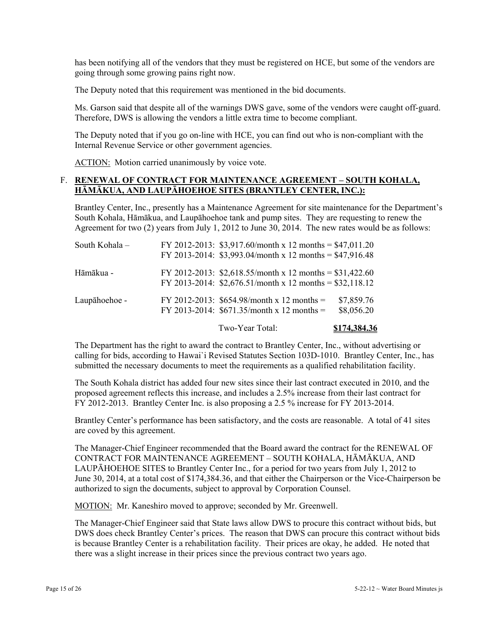has been notifying all of the vendors that they must be registered on HCE, but some of the vendors are going through some growing pains right now.

The Deputy noted that this requirement was mentioned in the bid documents.

Ms. Garson said that despite all of the warnings DWS gave, some of the vendors were caught off-guard. Therefore, DWS is allowing the vendors a little extra time to become compliant.

The Deputy noted that if you go on-line with HCE, you can find out who is non-compliant with the Internal Revenue Service or other government agencies.

ACTION: Motion carried unanimously by voice vote.

# F. **RENEWAL OF CONTRACT FOR MAINTENANCE AGREEMENT – SOUTH KOHALA, HĀMĀKUA, AND LAUPĀHOEHOE SITES (BRANTLEY CENTER, INC.):**

Brantley Center, Inc., presently has a Maintenance Agreement for site maintenance for the Department's South Kohala, Hāmākua, and Laupāhoehoe tank and pump sites. They are requesting to renew the Agreement for two (2) years from July 1, 2012 to June 30, 2014. The new rates would be as follows:

| South Kohala - | FY 2012-2013: \$3,917.60/month x 12 months = \$47,011.20<br>FY 2013-2014: $$3,993.04/month x 12 months = $47,916.48$ |                          |
|----------------|----------------------------------------------------------------------------------------------------------------------|--------------------------|
| Hāmākua -      | FY 2012-2013: \$2,618.55/month x 12 months = \$31,422.60<br>FY 2013-2014: $$2,676.51/month x 12 months = $32,118.12$ |                          |
| Laupāhoehoe -  | FY 2012-2013: $$654.98/month x 12 months =$<br>FY 2013-2014: $$671.35/month x 12 months =$                           | \$7,859.76<br>\$8,056.20 |
|                |                                                                                                                      |                          |

Two-Year Total: **\$174,384.36**

The Department has the right to award the contract to Brantley Center, Inc., without advertising or calling for bids, according to Hawai`i Revised Statutes Section 103D-1010. Brantley Center, Inc., has submitted the necessary documents to meet the requirements as a qualified rehabilitation facility.

The South Kohala district has added four new sites since their last contract executed in 2010, and the proposed agreement reflects this increase, and includes a 2.5% increase from their last contract for FY 2012-2013. Brantley Center Inc. is also proposing a 2.5 % increase for FY 2013-2014.

Brantley Center's performance has been satisfactory, and the costs are reasonable. A total of 41 sites are coved by this agreement.

The Manager-Chief Engineer recommended that the Board award the contract for the RENEWAL OF CONTRACT FOR MAINTENANCE AGREEMENT – SOUTH KOHALA, HĀMĀKUA, AND LAUPĀHOEHOE SITES to Brantley Center Inc., for a period for two years from July 1, 2012 to June 30, 2014, at a total cost of \$174,384.36, and that either the Chairperson or the Vice-Chairperson be authorized to sign the documents, subject to approval by Corporation Counsel.

MOTION: Mr. Kaneshiro moved to approve; seconded by Mr. Greenwell.

The Manager-Chief Engineer said that State laws allow DWS to procure this contract without bids, but DWS does check Brantley Center's prices. The reason that DWS can procure this contract without bids is because Brantley Center is a rehabilitation facility. Their prices are okay, he added. He noted that there was a slight increase in their prices since the previous contract two years ago.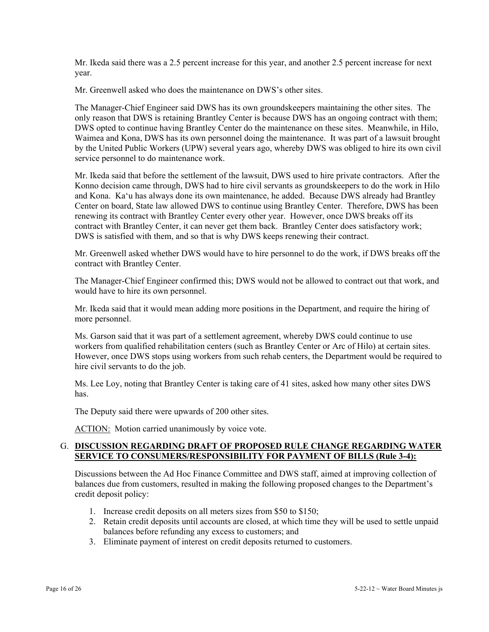Mr. Ikeda said there was a 2.5 percent increase for this year, and another 2.5 percent increase for next year.

Mr. Greenwell asked who does the maintenance on DWS's other sites.

The Manager-Chief Engineer said DWS has its own groundskeepers maintaining the other sites. The only reason that DWS is retaining Brantley Center is because DWS has an ongoing contract with them; DWS opted to continue having Brantley Center do the maintenance on these sites. Meanwhile, in Hilo, Waimea and Kona, DWS has its own personnel doing the maintenance. It was part of a lawsuit brought by the United Public Workers (UPW) several years ago, whereby DWS was obliged to hire its own civil service personnel to do maintenance work.

Mr. Ikeda said that before the settlement of the lawsuit, DWS used to hire private contractors. After the Konno decision came through, DWS had to hire civil servants as groundskeepers to do the work in Hilo and Kona. Ka'u has always done its own maintenance, he added. Because DWS already had Brantley Center on board, State law allowed DWS to continue using Brantley Center. Therefore, DWS has been renewing its contract with Brantley Center every other year. However, once DWS breaks off its contract with Brantley Center, it can never get them back. Brantley Center does satisfactory work; DWS is satisfied with them, and so that is why DWS keeps renewing their contract.

Mr. Greenwell asked whether DWS would have to hire personnel to do the work, if DWS breaks off the contract with Brantley Center.

The Manager-Chief Engineer confirmed this; DWS would not be allowed to contract out that work, and would have to hire its own personnel.

Mr. Ikeda said that it would mean adding more positions in the Department, and require the hiring of more personnel.

Ms. Garson said that it was part of a settlement agreement, whereby DWS could continue to use workers from qualified rehabilitation centers (such as Brantley Center or Arc of Hilo) at certain sites. However, once DWS stops using workers from such rehab centers, the Department would be required to hire civil servants to do the job.

Ms. Lee Loy, noting that Brantley Center is taking care of 41 sites, asked how many other sites DWS has.

The Deputy said there were upwards of 200 other sites.

ACTION: Motion carried unanimously by voice vote.

### G. **DISCUSSION REGARDING DRAFT OF PROPOSED RULE CHANGE REGARDING WATER SERVICE TO CONSUMERS/RESPONSIBILITY FOR PAYMENT OF BILLS (Rule 3-4):**

Discussions between the Ad Hoc Finance Committee and DWS staff, aimed at improving collection of balances due from customers, resulted in making the following proposed changes to the Department's credit deposit policy:

- 1. Increase credit deposits on all meters sizes from \$50 to \$150;
- 2. Retain credit deposits until accounts are closed, at which time they will be used to settle unpaid balances before refunding any excess to customers; and
- 3. Eliminate payment of interest on credit deposits returned to customers.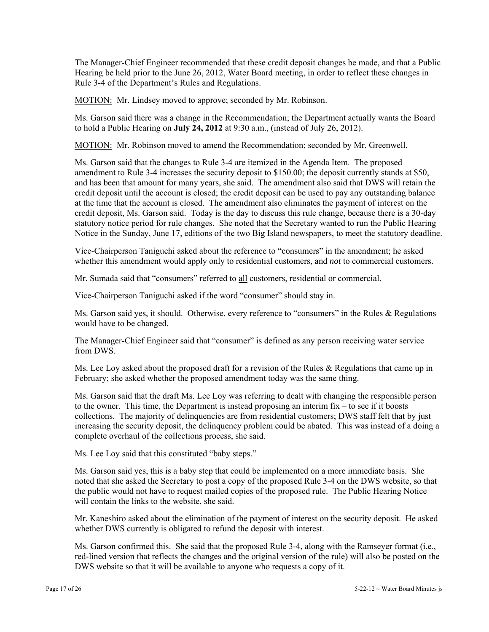The Manager-Chief Engineer recommended that these credit deposit changes be made, and that a Public Hearing be held prior to the June 26, 2012, Water Board meeting, in order to reflect these changes in Rule 3-4 of the Department's Rules and Regulations.

MOTION: Mr. Lindsey moved to approve; seconded by Mr. Robinson.

Ms. Garson said there was a change in the Recommendation; the Department actually wants the Board to hold a Public Hearing on **July 24, 2012** at 9:30 a.m., (instead of July 26, 2012).

MOTION: Mr. Robinson moved to amend the Recommendation; seconded by Mr. Greenwell.

Ms. Garson said that the changes to Rule 3-4 are itemized in the Agenda Item. The proposed amendment to Rule 3-4 increases the security deposit to \$150.00; the deposit currently stands at \$50, and has been that amount for many years, she said. The amendment also said that DWS will retain the credit deposit until the account is closed; the credit deposit can be used to pay any outstanding balance at the time that the account is closed. The amendment also eliminates the payment of interest on the credit deposit, Ms. Garson said. Today is the day to discuss this rule change, because there is a 30-day statutory notice period for rule changes. She noted that the Secretary wanted to run the Public Hearing Notice in the Sunday, June 17, editions of the two Big Island newspapers, to meet the statutory deadline.

Vice-Chairperson Taniguchi asked about the reference to "consumers" in the amendment; he asked whether this amendment would apply only to residential customers, and *not* to commercial customers.

Mr. Sumada said that "consumers" referred to all customers, residential or commercial.

Vice-Chairperson Taniguchi asked if the word "consumer" should stay in.

Ms. Garson said yes, it should. Otherwise, every reference to "consumers" in the Rules & Regulations would have to be changed.

The Manager-Chief Engineer said that "consumer" is defined as any person receiving water service from DWS.

Ms. Lee Loy asked about the proposed draft for a revision of the Rules & Regulations that came up in February; she asked whether the proposed amendment today was the same thing.

Ms. Garson said that the draft Ms. Lee Loy was referring to dealt with changing the responsible person to the owner. This time, the Department is instead proposing an interim fix – to see if it boosts collections. The majority of delinquencies are from residential customers; DWS staff felt that by just increasing the security deposit, the delinquency problem could be abated. This was instead of a doing a complete overhaul of the collections process, she said.

Ms. Lee Loy said that this constituted "baby steps."

Ms. Garson said yes, this is a baby step that could be implemented on a more immediate basis. She noted that she asked the Secretary to post a copy of the proposed Rule 3-4 on the DWS website, so that the public would not have to request mailed copies of the proposed rule. The Public Hearing Notice will contain the links to the website, she said.

Mr. Kaneshiro asked about the elimination of the payment of interest on the security deposit. He asked whether DWS currently is obligated to refund the deposit with interest.

Ms. Garson confirmed this. She said that the proposed Rule 3-4, along with the Ramseyer format (i.e., red-lined version that reflects the changes and the original version of the rule) will also be posted on the DWS website so that it will be available to anyone who requests a copy of it.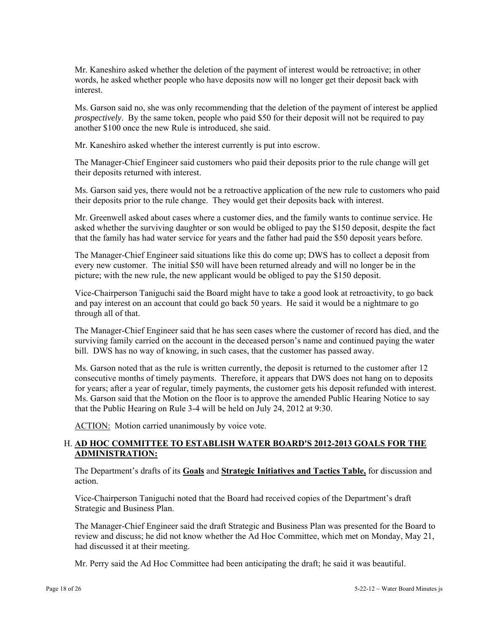Mr. Kaneshiro asked whether the deletion of the payment of interest would be retroactive; in other words, he asked whether people who have deposits now will no longer get their deposit back with interest.

Ms. Garson said no, she was only recommending that the deletion of the payment of interest be applied *prospectively*. By the same token, people who paid \$50 for their deposit will not be required to pay another \$100 once the new Rule is introduced, she said.

Mr. Kaneshiro asked whether the interest currently is put into escrow.

The Manager-Chief Engineer said customers who paid their deposits prior to the rule change will get their deposits returned with interest.

Ms. Garson said yes, there would not be a retroactive application of the new rule to customers who paid their deposits prior to the rule change. They would get their deposits back with interest.

Mr. Greenwell asked about cases where a customer dies, and the family wants to continue service. He asked whether the surviving daughter or son would be obliged to pay the \$150 deposit, despite the fact that the family has had water service for years and the father had paid the \$50 deposit years before.

The Manager-Chief Engineer said situations like this do come up; DWS has to collect a deposit from every new customer. The initial \$50 will have been returned already and will no longer be in the picture; with the new rule, the new applicant would be obliged to pay the \$150 deposit.

Vice-Chairperson Taniguchi said the Board might have to take a good look at retroactivity, to go back and pay interest on an account that could go back 50 years. He said it would be a nightmare to go through all of that.

The Manager-Chief Engineer said that he has seen cases where the customer of record has died, and the surviving family carried on the account in the deceased person's name and continued paying the water bill. DWS has no way of knowing, in such cases, that the customer has passed away.

Ms. Garson noted that as the rule is written currently, the deposit is returned to the customer after 12 consecutive months of timely payments. Therefore, it appears that DWS does not hang on to deposits for years; after a year of regular, timely payments, the customer gets his deposit refunded with interest. Ms. Garson said that the Motion on the floor is to approve the amended Public Hearing Notice to say that the Public Hearing on Rule 3-4 will be held on July 24, 2012 at 9:30.

ACTION: Motion carried unanimously by voice vote.

# H. **AD HOC COMMITTEE TO ESTABLISH WATER BOARD'S 2012-2013 GOALS FOR THE ADMINISTRATION:**

The Department's drafts of its **Goals** and **Strategic Initiatives and Tactics Table,** for discussion and action.

Vice-Chairperson Taniguchi noted that the Board had received copies of the Department's draft Strategic and Business Plan.

The Manager-Chief Engineer said the draft Strategic and Business Plan was presented for the Board to review and discuss; he did not know whether the Ad Hoc Committee, which met on Monday, May 21, had discussed it at their meeting.

Mr. Perry said the Ad Hoc Committee had been anticipating the draft; he said it was beautiful.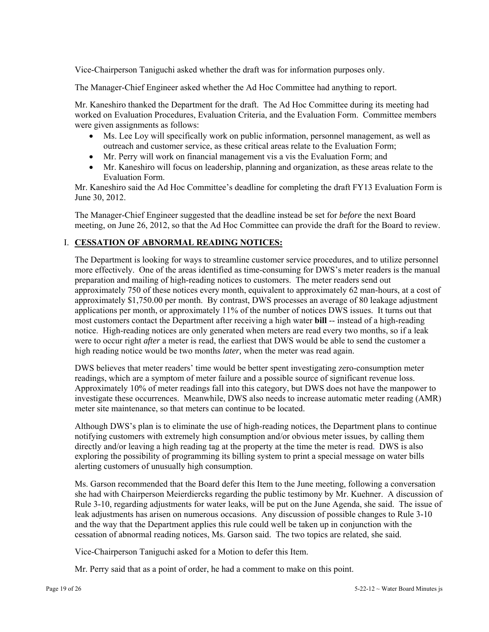Vice-Chairperson Taniguchi asked whether the draft was for information purposes only.

The Manager-Chief Engineer asked whether the Ad Hoc Committee had anything to report.

Mr. Kaneshiro thanked the Department for the draft. The Ad Hoc Committee during its meeting had worked on Evaluation Procedures, Evaluation Criteria, and the Evaluation Form. Committee members were given assignments as follows:

- Ms. Lee Loy will specifically work on public information, personnel management, as well as outreach and customer service, as these critical areas relate to the Evaluation Form;
- Mr. Perry will work on financial management vis a vis the Evaluation Form; and
- Mr. Kaneshiro will focus on leadership, planning and organization, as these areas relate to the Evaluation Form.

Mr. Kaneshiro said the Ad Hoc Committee's deadline for completing the draft FY13 Evaluation Form is June 30, 2012.

The Manager-Chief Engineer suggested that the deadline instead be set for *before* the next Board meeting, on June 26, 2012, so that the Ad Hoc Committee can provide the draft for the Board to review.

### I. **CESSATION OF ABNORMAL READING NOTICES:**

The Department is looking for ways to streamline customer service procedures, and to utilize personnel more effectively. One of the areas identified as time-consuming for DWS's meter readers is the manual preparation and mailing of high-reading notices to customers. The meter readers send out approximately 750 of these notices every month, equivalent to approximately 62 man-hours, at a cost of approximately \$1,750.00 per month. By contrast, DWS processes an average of 80 leakage adjustment applications per month, or approximately 11% of the number of notices DWS issues. It turns out that most customers contact the Department after receiving a high water **bill** -- instead of a high-reading notice. High-reading notices are only generated when meters are read every two months, so if a leak were to occur right *after* a meter is read, the earliest that DWS would be able to send the customer a high reading notice would be two months *later,* when the meter was read again.

DWS believes that meter readers' time would be better spent investigating zero-consumption meter readings, which are a symptom of meter failure and a possible source of significant revenue loss. Approximately 10% of meter readings fall into this category, but DWS does not have the manpower to investigate these occurrences. Meanwhile, DWS also needs to increase automatic meter reading (AMR) meter site maintenance, so that meters can continue to be located.

Although DWS's plan is to eliminate the use of high-reading notices, the Department plans to continue notifying customers with extremely high consumption and/or obvious meter issues, by calling them directly and/or leaving a high reading tag at the property at the time the meter is read. DWS is also exploring the possibility of programming its billing system to print a special message on water bills alerting customers of unusually high consumption.

Ms. Garson recommended that the Board defer this Item to the June meeting, following a conversation she had with Chairperson Meierdiercks regarding the public testimony by Mr. Kuehner. A discussion of Rule 3-10, regarding adjustments for water leaks, will be put on the June Agenda, she said. The issue of leak adjustments has arisen on numerous occasions. Any discussion of possible changes to Rule 3-10 and the way that the Department applies this rule could well be taken up in conjunction with the cessation of abnormal reading notices, Ms. Garson said. The two topics are related, she said.

Vice-Chairperson Taniguchi asked for a Motion to defer this Item.

Mr. Perry said that as a point of order, he had a comment to make on this point.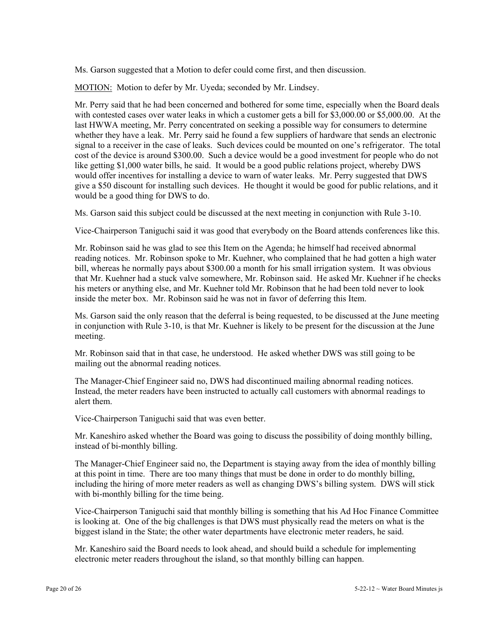Ms. Garson suggested that a Motion to defer could come first, and then discussion.

MOTION: Motion to defer by Mr. Uyeda; seconded by Mr. Lindsey.

Mr. Perry said that he had been concerned and bothered for some time, especially when the Board deals with contested cases over water leaks in which a customer gets a bill for \$3,000.00 or \$5,000.00. At the last HWWA meeting, Mr. Perry concentrated on seeking a possible way for consumers to determine whether they have a leak. Mr. Perry said he found a few suppliers of hardware that sends an electronic signal to a receiver in the case of leaks. Such devices could be mounted on one's refrigerator. The total cost of the device is around \$300.00. Such a device would be a good investment for people who do not like getting \$1,000 water bills, he said. It would be a good public relations project, whereby DWS would offer incentives for installing a device to warn of water leaks. Mr. Perry suggested that DWS give a \$50 discount for installing such devices. He thought it would be good for public relations, and it would be a good thing for DWS to do.

Ms. Garson said this subject could be discussed at the next meeting in conjunction with Rule 3-10.

Vice-Chairperson Taniguchi said it was good that everybody on the Board attends conferences like this.

Mr. Robinson said he was glad to see this Item on the Agenda; he himself had received abnormal reading notices. Mr. Robinson spoke to Mr. Kuehner, who complained that he had gotten a high water bill, whereas he normally pays about \$300.00 a month for his small irrigation system. It was obvious that Mr. Kuehner had a stuck valve somewhere, Mr. Robinson said. He asked Mr. Kuehner if he checks his meters or anything else, and Mr. Kuehner told Mr. Robinson that he had been told never to look inside the meter box. Mr. Robinson said he was not in favor of deferring this Item.

Ms. Garson said the only reason that the deferral is being requested, to be discussed at the June meeting in conjunction with Rule 3-10, is that Mr. Kuehner is likely to be present for the discussion at the June meeting.

Mr. Robinson said that in that case, he understood. He asked whether DWS was still going to be mailing out the abnormal reading notices.

The Manager-Chief Engineer said no, DWS had discontinued mailing abnormal reading notices. Instead, the meter readers have been instructed to actually call customers with abnormal readings to alert them.

Vice-Chairperson Taniguchi said that was even better.

Mr. Kaneshiro asked whether the Board was going to discuss the possibility of doing monthly billing, instead of bi-monthly billing.

The Manager-Chief Engineer said no, the Department is staying away from the idea of monthly billing at this point in time. There are too many things that must be done in order to do monthly billing, including the hiring of more meter readers as well as changing DWS's billing system. DWS will stick with bi-monthly billing for the time being.

Vice-Chairperson Taniguchi said that monthly billing is something that his Ad Hoc Finance Committee is looking at. One of the big challenges is that DWS must physically read the meters on what is the biggest island in the State; the other water departments have electronic meter readers, he said.

Mr. Kaneshiro said the Board needs to look ahead, and should build a schedule for implementing electronic meter readers throughout the island, so that monthly billing can happen.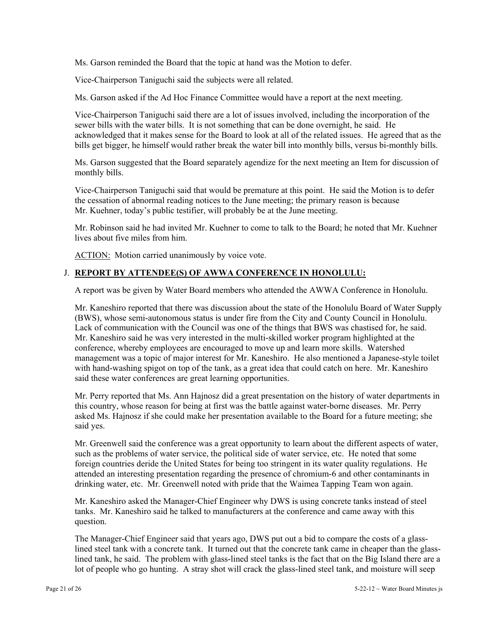Ms. Garson reminded the Board that the topic at hand was the Motion to defer.

Vice-Chairperson Taniguchi said the subjects were all related.

Ms. Garson asked if the Ad Hoc Finance Committee would have a report at the next meeting.

Vice-Chairperson Taniguchi said there are a lot of issues involved, including the incorporation of the sewer bills with the water bills. It is not something that can be done overnight, he said. He acknowledged that it makes sense for the Board to look at all of the related issues. He agreed that as the bills get bigger, he himself would rather break the water bill into monthly bills, versus bi-monthly bills.

Ms. Garson suggested that the Board separately agendize for the next meeting an Item for discussion of monthly bills.

Vice-Chairperson Taniguchi said that would be premature at this point. He said the Motion is to defer the cessation of abnormal reading notices to the June meeting; the primary reason is because Mr. Kuehner, today's public testifier, will probably be at the June meeting.

Mr. Robinson said he had invited Mr. Kuehner to come to talk to the Board; he noted that Mr. Kuehner lives about five miles from him.

ACTION: Motion carried unanimously by voice vote.

### J. **REPORT BY ATTENDEE(S) OF AWWA CONFERENCE IN HONOLULU:**

A report was be given by Water Board members who attended the AWWA Conference in Honolulu.

Mr. Kaneshiro reported that there was discussion about the state of the Honolulu Board of Water Supply (BWS), whose semi-autonomous status is under fire from the City and County Council in Honolulu. Lack of communication with the Council was one of the things that BWS was chastised for, he said. Mr. Kaneshiro said he was very interested in the multi-skilled worker program highlighted at the conference, whereby employees are encouraged to move up and learn more skills. Watershed management was a topic of major interest for Mr. Kaneshiro. He also mentioned a Japanese-style toilet with hand-washing spigot on top of the tank, as a great idea that could catch on here. Mr. Kaneshiro said these water conferences are great learning opportunities.

Mr. Perry reported that Ms. Ann Hajnosz did a great presentation on the history of water departments in this country, whose reason for being at first was the battle against water-borne diseases. Mr. Perry asked Ms. Hajnosz if she could make her presentation available to the Board for a future meeting; she said yes.

Mr. Greenwell said the conference was a great opportunity to learn about the different aspects of water, such as the problems of water service, the political side of water service, etc. He noted that some foreign countries deride the United States for being too stringent in its water quality regulations. He attended an interesting presentation regarding the presence of chromium-6 and other contaminants in drinking water, etc. Mr. Greenwell noted with pride that the Waimea Tapping Team won again.

Mr. Kaneshiro asked the Manager-Chief Engineer why DWS is using concrete tanks instead of steel tanks. Mr. Kaneshiro said he talked to manufacturers at the conference and came away with this question.

The Manager-Chief Engineer said that years ago, DWS put out a bid to compare the costs of a glasslined steel tank with a concrete tank. It turned out that the concrete tank came in cheaper than the glasslined tank, he said. The problem with glass-lined steel tanks is the fact that on the Big Island there are a lot of people who go hunting. A stray shot will crack the glass-lined steel tank, and moisture will seep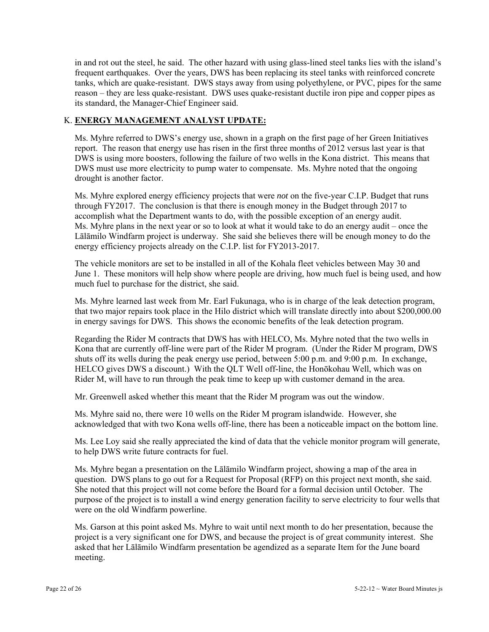in and rot out the steel, he said. The other hazard with using glass-lined steel tanks lies with the island's frequent earthquakes. Over the years, DWS has been replacing its steel tanks with reinforced concrete tanks, which are quake-resistant. DWS stays away from using polyethylene, or PVC, pipes for the same reason – they are less quake-resistant. DWS uses quake-resistant ductile iron pipe and copper pipes as its standard, the Manager-Chief Engineer said.

# K. **ENERGY MANAGEMENT ANALYST UPDATE:**

Ms. Myhre referred to DWS's energy use, shown in a graph on the first page of her Green Initiatives report. The reason that energy use has risen in the first three months of 2012 versus last year is that DWS is using more boosters, following the failure of two wells in the Kona district. This means that DWS must use more electricity to pump water to compensate. Ms. Myhre noted that the ongoing drought is another factor.

Ms. Myhre explored energy efficiency projects that were *not* on the five-year C.I.P. Budget that runs through FY2017. The conclusion is that there is enough money in the Budget through 2017 to accomplish what the Department wants to do, with the possible exception of an energy audit. Ms. Myhre plans in the next year or so to look at what it would take to do an energy audit – once the Lālāmilo Windfarm project is underway. She said she believes there will be enough money to do the energy efficiency projects already on the C.I.P. list for FY2013-2017.

The vehicle monitors are set to be installed in all of the Kohala fleet vehicles between May 30 and June 1. These monitors will help show where people are driving, how much fuel is being used, and how much fuel to purchase for the district, she said.

Ms. Myhre learned last week from Mr. Earl Fukunaga, who is in charge of the leak detection program, that two major repairs took place in the Hilo district which will translate directly into about \$200,000.00 in energy savings for DWS. This shows the economic benefits of the leak detection program.

Regarding the Rider M contracts that DWS has with HELCO, Ms. Myhre noted that the two wells in Kona that are currently off-line were part of the Rider M program. (Under the Rider M program, DWS shuts off its wells during the peak energy use period, between 5:00 p.m. and 9:00 p.m. In exchange, HELCO gives DWS a discount.) With the QLT Well off-line, the Honōkohau Well, which was on Rider M, will have to run through the peak time to keep up with customer demand in the area.

Mr. Greenwell asked whether this meant that the Rider M program was out the window.

Ms. Myhre said no, there were 10 wells on the Rider M program islandwide. However, she acknowledged that with two Kona wells off-line, there has been a noticeable impact on the bottom line.

Ms. Lee Loy said she really appreciated the kind of data that the vehicle monitor program will generate, to help DWS write future contracts for fuel.

Ms. Myhre began a presentation on the Lālāmilo Windfarm project, showing a map of the area in question. DWS plans to go out for a Request for Proposal (RFP) on this project next month, she said. She noted that this project will not come before the Board for a formal decision until October. The purpose of the project is to install a wind energy generation facility to serve electricity to four wells that were on the old Windfarm powerline.

Ms. Garson at this point asked Ms. Myhre to wait until next month to do her presentation, because the project is a very significant one for DWS, and because the project is of great community interest. She asked that her Lālāmilo Windfarm presentation be agendized as a separate Item for the June board meeting.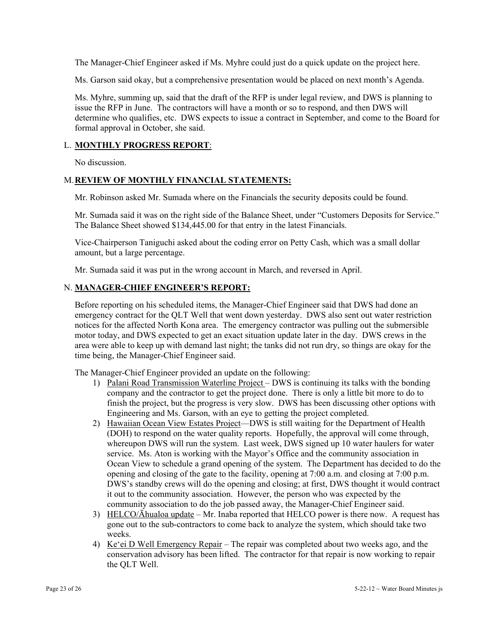The Manager-Chief Engineer asked if Ms. Myhre could just do a quick update on the project here.

Ms. Garson said okay, but a comprehensive presentation would be placed on next month's Agenda.

Ms. Myhre, summing up, said that the draft of the RFP is under legal review, and DWS is planning to issue the RFP in June. The contractors will have a month or so to respond, and then DWS will determine who qualifies, etc. DWS expects to issue a contract in September, and come to the Board for formal approval in October, she said.

#### L. **MONTHLY PROGRESS REPORT**:

No discussion.

### M. **REVIEW OF MONTHLY FINANCIAL STATEMENTS:**

Mr. Robinson asked Mr. Sumada where on the Financials the security deposits could be found.

Mr. Sumada said it was on the right side of the Balance Sheet, under "Customers Deposits for Service." The Balance Sheet showed \$134,445.00 for that entry in the latest Financials.

Vice-Chairperson Taniguchi asked about the coding error on Petty Cash, which was a small dollar amount, but a large percentage.

Mr. Sumada said it was put in the wrong account in March, and reversed in April.

#### N. **MANAGER-CHIEF ENGINEER'S REPORT:**

Before reporting on his scheduled items, the Manager-Chief Engineer said that DWS had done an emergency contract for the QLT Well that went down yesterday. DWS also sent out water restriction notices for the affected North Kona area. The emergency contractor was pulling out the submersible motor today, and DWS expected to get an exact situation update later in the day. DWS crews in the area were able to keep up with demand last night; the tanks did not run dry, so things are okay for the time being, the Manager-Chief Engineer said.

The Manager-Chief Engineer provided an update on the following:

- 1) Palani Road Transmission Waterline Project DWS is continuing its talks with the bonding company and the contractor to get the project done. There is only a little bit more to do to finish the project, but the progress is very slow. DWS has been discussing other options with Engineering and Ms. Garson, with an eye to getting the project completed.
- 2) Hawaiian Ocean View Estates Project—DWS is still waiting for the Department of Health (DOH) to respond on the water quality reports. Hopefully, the approval will come through, whereupon DWS will run the system. Last week, DWS signed up 10 water haulers for water service. Ms. Aton is working with the Mayor's Office and the community association in Ocean View to schedule a grand opening of the system. The Department has decided to do the opening and closing of the gate to the facility, opening at 7:00 a.m. and closing at 7:00 p.m. DWS's standby crews will do the opening and closing; at first, DWS thought it would contract it out to the community association. However, the person who was expected by the community association to do the job passed away, the Manager-Chief Engineer said.
- 3) HELCO/Āhualoa update Mr. Inaba reported that HELCO power is there now. A request has gone out to the sub-contractors to come back to analyze the system, which should take two weeks.
- 4) Ke'ei D Well Emergency Repair The repair was completed about two weeks ago, and the conservation advisory has been lifted. The contractor for that repair is now working to repair the QLT Well.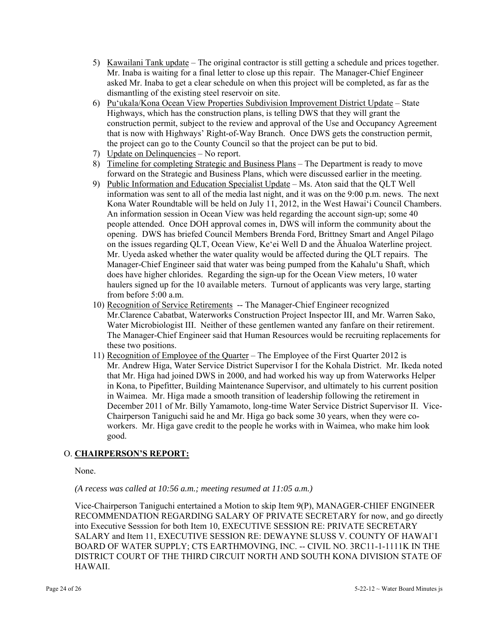- 5) Kawailani Tank update The original contractor is still getting a schedule and prices together. Mr. Inaba is waiting for a final letter to close up this repair. The Manager-Chief Engineer asked Mr. Inaba to get a clear schedule on when this project will be completed, as far as the dismantling of the existing steel reservoir on site.
- 6) Pu'ukala/Kona Ocean View Properties Subdivision Improvement District Update State Highways, which has the construction plans, is telling DWS that they will grant the construction permit, subject to the review and approval of the Use and Occupancy Agreement that is now with Highways' Right-of-Way Branch. Once DWS gets the construction permit, the project can go to the County Council so that the project can be put to bid.
- 7) Update on Delinquencies No report.
- 8) Timeline for completing Strategic and Business Plans The Department is ready to move forward on the Strategic and Business Plans, which were discussed earlier in the meeting.
- 9) Public Information and Education Specialist Update Ms. Aton said that the QLT Well information was sent to all of the media last night, and it was on the 9:00 p.m. news. The next Kona Water Roundtable will be held on July 11, 2012, in the West Hawai'i Council Chambers. An information session in Ocean View was held regarding the account sign-up; some 40 people attended. Once DOH approval comes in, DWS will inform the community about the opening. DWS has briefed Council Members Brenda Ford, Brittney Smart and Angel Pilago on the issues regarding QLT, Ocean View, Ke'ei Well D and the Āhualoa Waterline project. Mr. Uyeda asked whether the water quality would be affected during the QLT repairs. The Manager-Chief Engineer said that water was being pumped from the Kahalu'u Shaft, which does have higher chlorides. Regarding the sign-up for the Ocean View meters, 10 water haulers signed up for the 10 available meters. Turnout of applicants was very large, starting from before 5:00 a.m.
- 10) Recognition of Service Retirements -- The Manager-Chief Engineer recognized Mr.Clarence Cabatbat, Waterworks Construction Project Inspector III, and Mr. Warren Sako, Water Microbiologist III. Neither of these gentlemen wanted any fanfare on their retirement. The Manager-Chief Engineer said that Human Resources would be recruiting replacements for these two positions.
- 11) Recognition of Employee of the Quarter The Employee of the First Quarter 2012 is Mr. Andrew Higa, Water Service District Supervisor I for the Kohala District. Mr. Ikeda noted that Mr. Higa had joined DWS in 2000, and had worked his way up from Waterworks Helper in Kona, to Pipefitter, Building Maintenance Supervisor, and ultimately to his current position in Waimea. Mr. Higa made a smooth transition of leadership following the retirement in December 2011 of Mr. Billy Yamamoto, long-time Water Service District Supervisor II. Vice-Chairperson Taniguchi said he and Mr. Higa go back some 30 years, when they were coworkers. Mr. Higa gave credit to the people he works with in Waimea, who make him look good.

# O. **CHAIRPERSON'S REPORT:**

None.

*(A recess was called at 10:56 a.m.; meeting resumed at 11:05 a.m.)* 

Vice-Chairperson Taniguchi entertained a Motion to skip Item 9(P), MANAGER-CHIEF ENGINEER RECOMMENDATION REGARDING SALARY OF PRIVATE SECRETARY for now, and go directly into Executive Sesssion for both Item 10, EXECUTIVE SESSION RE: PRIVATE SECRETARY SALARY and Item 11, EXECUTIVE SESSION RE: DEWAYNE SLUSS V. COUNTY OF HAWAI`I BOARD OF WATER SUPPLY; CTS EARTHMOVING, INC. -- CIVIL NO. 3RC11-1-1111K IN THE DISTRICT COURT OF THE THIRD CIRCUIT NORTH AND SOUTH KONA DIVISION STATE OF HAWAII.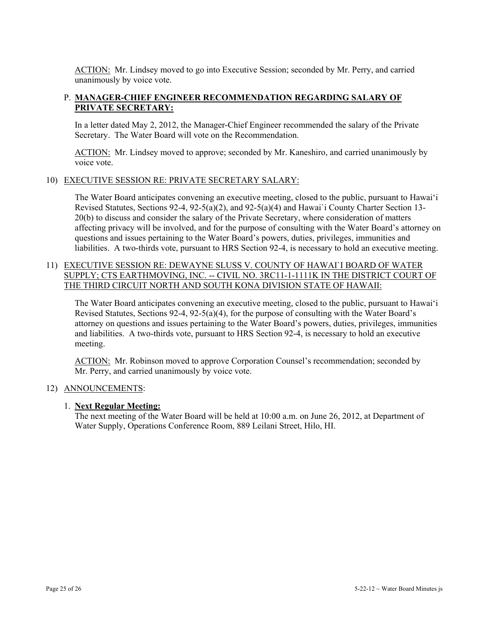ACTION: Mr. Lindsey moved to go into Executive Session; seconded by Mr. Perry, and carried unanimously by voice vote.

# P. **MANAGER-CHIEF ENGINEER RECOMMENDATION REGARDING SALARY OF PRIVATE SECRETARY:**

In a letter dated May 2, 2012, the Manager-Chief Engineer recommended the salary of the Private Secretary. The Water Board will vote on the Recommendation.

ACTION: Mr. Lindsey moved to approve; seconded by Mr. Kaneshiro, and carried unanimously by voice vote.

### 10) EXECUTIVE SESSION RE: PRIVATE SECRETARY SALARY:

The Water Board anticipates convening an executive meeting, closed to the public, pursuant to Hawai'i Revised Statutes, Sections 92-4, 92-5(a)(2), and 92-5(a)(4) and Hawai`i County Charter Section 13- 20(b) to discuss and consider the salary of the Private Secretary, where consideration of matters affecting privacy will be involved, and for the purpose of consulting with the Water Board's attorney on questions and issues pertaining to the Water Board's powers, duties, privileges, immunities and liabilities. A two-thirds vote, pursuant to HRS Section 92-4, is necessary to hold an executive meeting.

# 11) EXECUTIVE SESSION RE: DEWAYNE SLUSS V. COUNTY OF HAWAI`I BOARD OF WATER SUPPLY; CTS EARTHMOVING, INC. -- CIVIL NO. 3RC11-1-1111K IN THE DISTRICT COURT OF THE THIRD CIRCUIT NORTH AND SOUTH KONA DIVISION STATE OF HAWAII:

The Water Board anticipates convening an executive meeting, closed to the public, pursuant to Hawai'i Revised Statutes, Sections 92-4, 92-5(a)(4), for the purpose of consulting with the Water Board's attorney on questions and issues pertaining to the Water Board's powers, duties, privileges, immunities and liabilities. A two-thirds vote, pursuant to HRS Section 92-4, is necessary to hold an executive meeting.

ACTION: Mr. Robinson moved to approve Corporation Counsel's recommendation; seconded by Mr. Perry, and carried unanimously by voice vote.

### 12) ANNOUNCEMENTS:

### 1. **Next Regular Meeting:**

The next meeting of the Water Board will be held at 10:00 a.m. on June 26, 2012, at Department of Water Supply, Operations Conference Room, 889 Leilani Street, Hilo, HI.